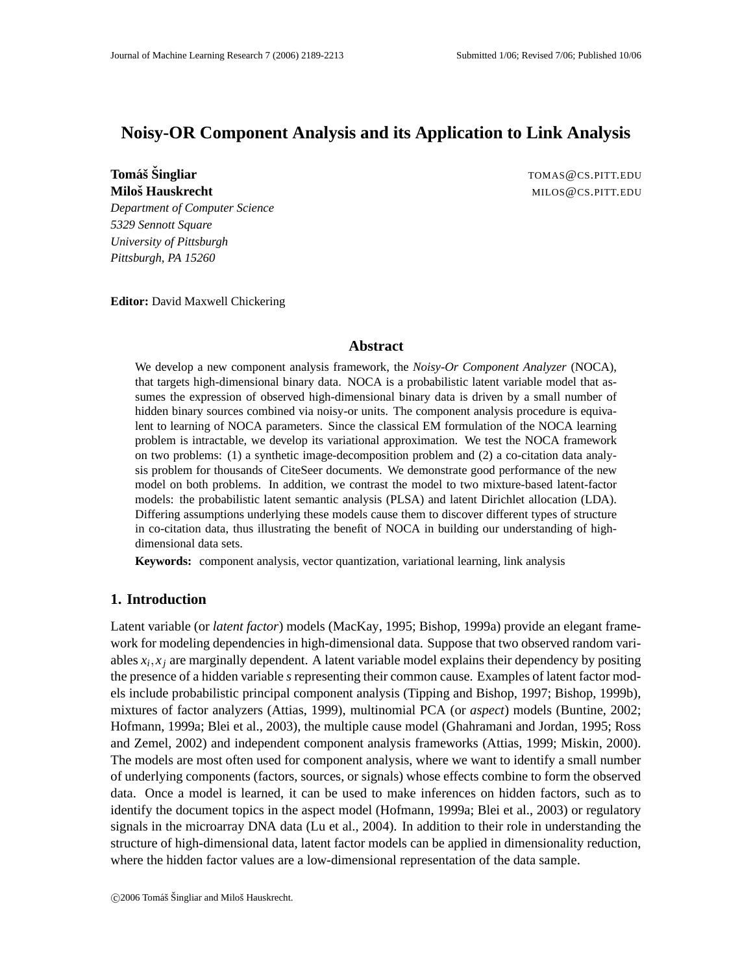# **Noisy-OR Component Analysis and its Application to Link Analysis**

**Tomáš Šingliar TOMAS ČCS.PITT.EDU** 

**Milosˇ Hauskrecht** MILOS@CS.PITT.EDU

*Department of Computer Science 5329 Sennott Square University of Pittsburgh Pittsburgh, PA 15260*

**Editor:** David Maxwell Chickering

## **Abstract**

We develop a new component analysis framework, the *Noisy-Or Component Analyzer* (NOCA), that targets high-dimensional binary data. NOCA is a probabilistic latent variable model that assumes the expression of observed high-dimensional binary data is driven by a small number of hidden binary sources combined via noisy-or units. The component analysis procedure is equivalent to learning of NOCA parameters. Since the classical EM formulation of the NOCA learning problem is intractable, we develop its variational approximation. We test the NOCA framework on two problems: (1) a synthetic image-decomposition problem and (2) a co-citation data analysis problem for thousands of CiteSeer documents. We demonstrate good performance of the new model on both problems. In addition, we contrast the model to two mixture-based latent-factor models: the probabilistic latent semantic analysis (PLSA) and latent Dirichlet allocation (LDA). Differing assumptions underlying these models cause them to discover different types of structure in co-citation data, thus illustrating the benefit of NOCA in building our understanding of highdimensional data sets.

**Keywords:** component analysis, vector quantization, variational learning, link analysis

## **1. Introduction**

Latent variable (or *latent factor*) models (MacKay, 1995; Bishop, 1999a) provide an elegant framework for modeling dependencies in high-dimensional data. Suppose that two observed random variables *x<sup>i</sup>* , *x<sup>j</sup>* are marginally dependent. A latent variable model explains their dependency by positing the presence of a hidden variable *s* representing their common cause. Examples of latent factor models include probabilistic principal component analysis (Tipping and Bishop, 1997; Bishop, 1999b), mixtures of factor analyzers (Attias, 1999), multinomial PCA (or *aspect*) models (Buntine, 2002; Hofmann, 1999a; Blei et al., 2003), the multiple cause model (Ghahramani and Jordan, 1995; Ross and Zemel, 2002) and independent component analysis frameworks (Attias, 1999; Miskin, 2000). The models are most often used for component analysis, where we want to identify a small number of underlying components (factors, sources, or signals) whose effects combine to form the observed data. Once a model is learned, it can be used to make inferences on hidden factors, such as to identify the document topics in the aspect model (Hofmann, 1999a; Blei et al., 2003) or regulatory signals in the microarray DNA data (Lu et al., 2004). In addition to their role in understanding the structure of high-dimensional data, latent factor models can be applied in dimensionality reduction, where the hidden factor values are a low-dimensional representation of the data sample.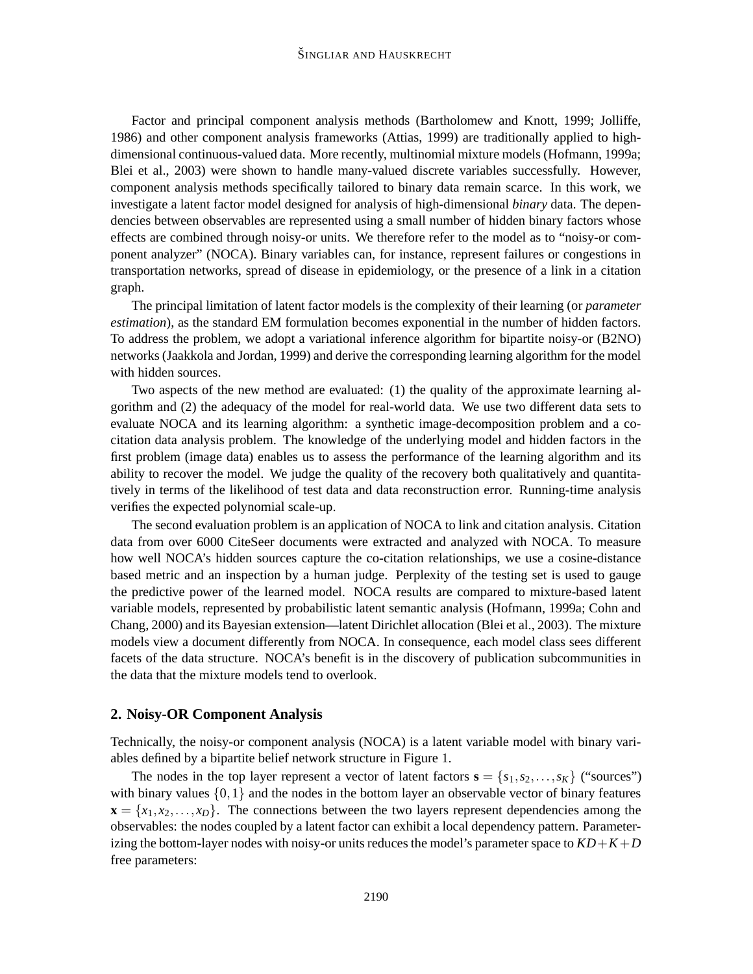#### ŠINGLIAR AND HAUSKRECHT

Factor and principal component analysis methods (Bartholomew and Knott, 1999; Jolliffe, 1986) and other component analysis frameworks (Attias, 1999) are traditionally applied to highdimensional continuous-valued data. More recently, multinomial mixture models (Hofmann, 1999a; Blei et al., 2003) were shown to handle many-valued discrete variables successfully. However, component analysis methods specifically tailored to binary data remain scarce. In this work, we investigate a latent factor model designed for analysis of high-dimensional *binary* data. The dependencies between observables are represented using a small number of hidden binary factors whose effects are combined through noisy-or units. We therefore refer to the model as to "noisy-or component analyzer" (NOCA). Binary variables can, for instance, represent failures or congestions in transportation networks, spread of disease in epidemiology, or the presence of a link in a citation graph.

The principal limitation of latent factor models is the complexity of their learning (or *parameter estimation*), as the standard EM formulation becomes exponential in the number of hidden factors. To address the problem, we adopt a variational inference algorithm for bipartite noisy-or (B2NO) networks(Jaakkola and Jordan, 1999) and derive the corresponding learning algorithm for the model with hidden sources.

Two aspects of the new method are evaluated: (1) the quality of the approximate learning algorithm and (2) the adequacy of the model for real-world data. We use two different data sets to evaluate NOCA and its learning algorithm: a synthetic image-decomposition problem and a cocitation data analysis problem. The knowledge of the underlying model and hidden factors in the first problem (image data) enables us to assess the performance of the learning algorithm and its ability to recover the model. We judge the quality of the recovery both qualitatively and quantitatively in terms of the likelihood of test data and data reconstruction error. Running-time analysis verifies the expected polynomial scale-up.

The second evaluation problem is an application of NOCA to link and citation analysis. Citation data from over 6000 CiteSeer documents were extracted and analyzed with NOCA. To measure how well NOCA's hidden sources capture the co-citation relationships, we use a cosine-distance based metric and an inspection by a human judge. Perplexity of the testing set is used to gauge the predictive power of the learned model. NOCA results are compared to mixture-based latent variable models, represented by probabilistic latent semantic analysis (Hofmann, 1999a; Cohn and Chang, 2000) and its Bayesian extension—latent Dirichlet allocation (Blei et al., 2003). The mixture models view a document differently from NOCA. In consequence, each model class sees different facets of the data structure. NOCA's benefit is in the discovery of publication subcommunities in the data that the mixture models tend to overlook.

### **2. Noisy-OR Component Analysis**

Technically, the noisy-or component analysis (NOCA) is a latent variable model with binary variables defined by a bipartite belief network structure in Figure 1.

The nodes in the top layer represent a vector of latent factors  $\mathbf{s} = \{s_1, s_2, \dots, s_K\}$  ("sources") with binary values  $\{0,1\}$  and the nodes in the bottom layer an observable vector of binary features  $\mathbf{x} = \{x_1, x_2, \dots, x_D\}$ . The connections between the two layers represent dependencies among the observables: the nodes coupled by a latent factor can exhibit a local dependency pattern. Parameterizing the bottom-layer nodes with noisy-or units reduces the model's parameter space to  $KD+K+D$ free parameters: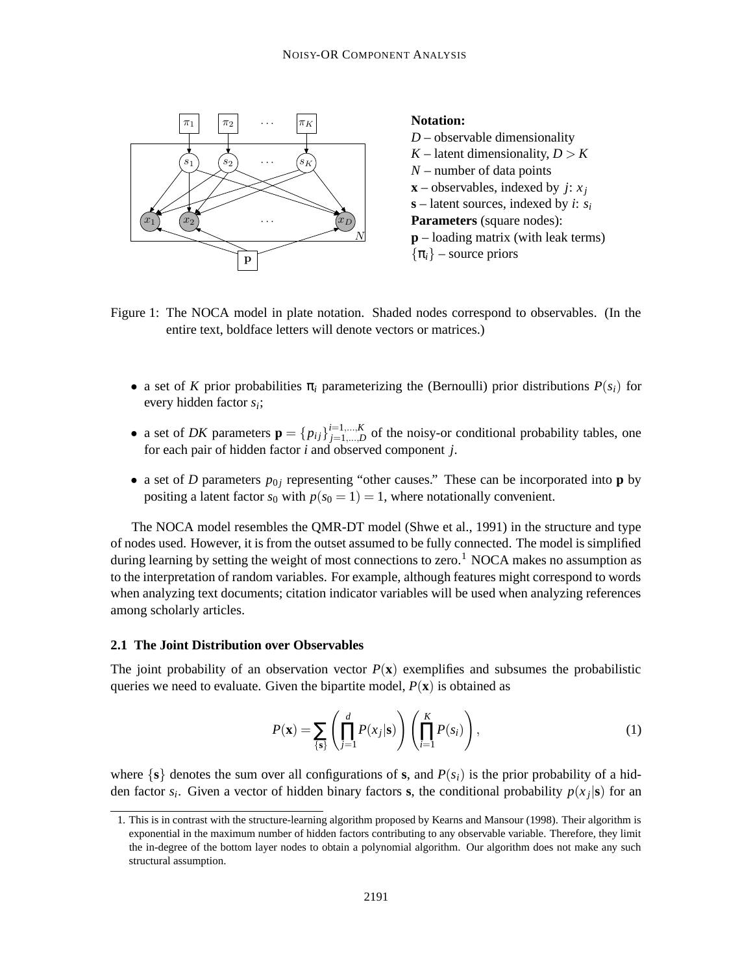

Figure 1: The NOCA model in plate notation. Shaded nodes correspond to observables. (In the entire text, boldface letters will denote vectors or matrices.)

- a set of *K* prior probabilities  $\pi$ *i* parameterizing the (Bernoulli) prior distributions  $P(s_i)$  for every hidden factor *s<sup>i</sup>* ;
- a set of *DK* parameters  $\mathbf{p} = \{p_{ij}\}_{i=1,...,K}^{i=1,...,K}$  $j=1,...,K$  of the noisy-or conditional probability tables, one for each pair of hidden factor *i* and observed component *j*.
- a set of *D* parameters  $p_{0j}$  representing "other causes." These can be incorporated into **p** by positing a latent factor  $s_0$  with  $p(s_0 = 1) = 1$ , where notationally convenient.

The NOCA model resembles the QMR-DT model (Shwe et al., 1991) in the structure and type of nodes used. However, it is from the outset assumed to be fully connected. The model is simplified during learning by setting the weight of most connections to zero.<sup>1</sup> NOCA makes no assumption as to the interpretation of random variables. For example, although features might correspond to words when analyzing text documents; citation indicator variables will be used when analyzing references among scholarly articles.

#### **2.1 The Joint Distribution over Observables**

The joint probability of an observation vector  $P(x)$  exemplifies and subsumes the probabilistic queries we need to evaluate. Given the bipartite model,  $P(\mathbf{x})$  is obtained as

$$
P(\mathbf{x}) = \sum_{\{\mathbf{s}\}} \left( \prod_{j=1}^{d} P(x_j | \mathbf{s}) \right) \left( \prod_{i=1}^{K} P(s_i) \right),\tag{1}
$$

where  $\{s\}$  denotes the sum over all configurations of **s**, and  $P(s_i)$  is the prior probability of a hidden factor  $s_i$ . Given a vector of hidden binary factors **s**, the conditional probability  $p(x_j|\mathbf{s})$  for an

<sup>1.</sup> This is in contrast with the structure-learning algorithm proposed by Kearns and Mansour (1998). Their algorithm is exponential in the maximum number of hidden factors contributing to any observable variable. Therefore, they limit the in-degree of the bottom layer nodes to obtain a polynomial algorithm. Our algorithm does not make any such structural assumption.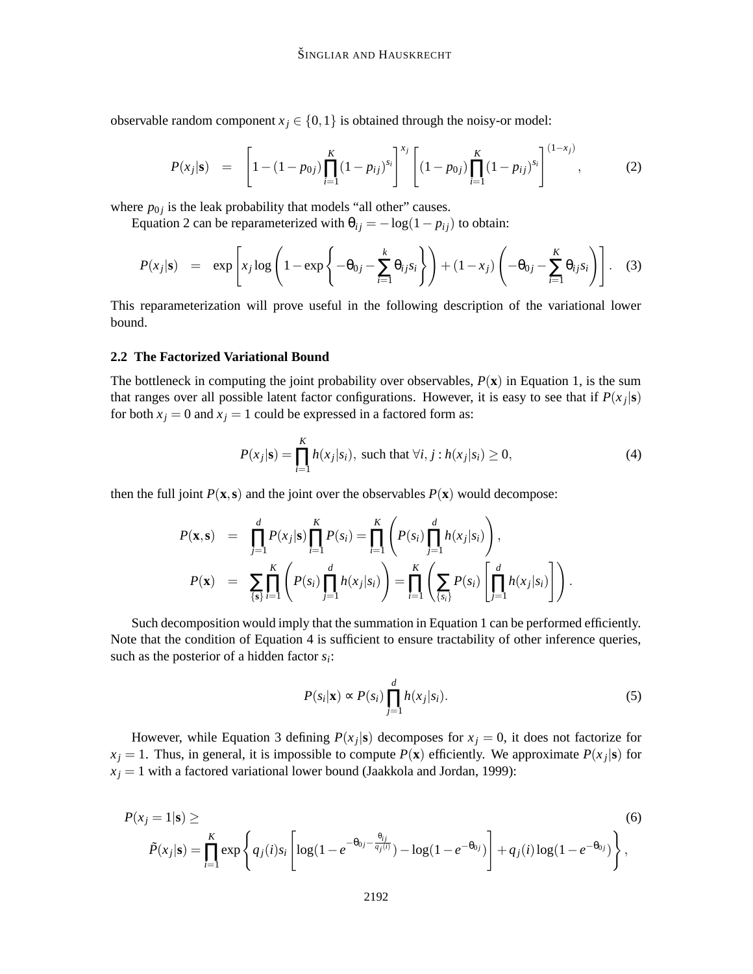observable random component  $x_j \in \{0,1\}$  is obtained through the noisy-or model:

$$
P(x_j|\mathbf{s}) = \left[1 - (1 - p_{0j})\prod_{i=1}^K(1 - p_{ij})^{s_i}\right]^{x_j} \left[(1 - p_{0j})\prod_{i=1}^K(1 - p_{ij})^{s_i}\right]^{(1 - x_j)},
$$
(2)

where  $p_{0j}$  is the leak probability that models "all other" causes.

Equation 2 can be reparameterized with  $\theta_{ij} = -\log(1 - p_{ij})$  to obtain:

$$
P(x_j|\mathbf{s}) = \exp\left[x_j \log\left(1 - \exp\left\{-\theta_{0j} - \sum_{i=1}^k \theta_{ij} s_i\right\}\right) + (1 - x_j) \left(-\theta_{0j} - \sum_{i=1}^k \theta_{ij} s_i\right)\right].
$$
 (3)

This reparameterization will prove useful in the following description of the variational lower bound.

#### **2.2 The Factorized Variational Bound**

The bottleneck in computing the joint probability over observables,  $P(\mathbf{x})$  in Equation 1, is the sum that ranges over all possible latent factor configurations. However, it is easy to see that if  $P(x_j|\mathbf{s})$ for both  $x_j = 0$  and  $x_j = 1$  could be expressed in a factored form as:

$$
P(x_j|\mathbf{s}) = \prod_{i=1}^{K} h(x_j|s_i), \text{ such that } \forall i, j: h(x_j|s_i) \ge 0,
$$
 (4)

then the full joint  $P(x, s)$  and the joint over the observables  $P(x)$  would decompose:

$$
P(\mathbf{x}, \mathbf{s}) = \prod_{j=1}^{d} P(x_j | \mathbf{s}) \prod_{i=1}^{K} P(s_i) = \prod_{i=1}^{K} \left( P(s_i) \prod_{j=1}^{d} h(x_j | s_i) \right),
$$
  
\n
$$
P(\mathbf{x}) = \sum_{\{\mathbf{s}\}} \prod_{i=1}^{K} \left( P(s_i) \prod_{j=1}^{d} h(x_j | s_i) \right) = \prod_{i=1}^{K} \left( \sum_{\{s_i\}} P(s_i) \left[ \prod_{j=1}^{d} h(x_j | s_i) \right] \right).
$$

Such decomposition would imply that the summation in Equation 1 can be performed efficiently. Note that the condition of Equation 4 is sufficient to ensure tractability of other inference queries, such as the posterior of a hidden factor *s<sup>i</sup>* :

$$
P(s_i|\mathbf{x}) \propto P(s_i) \prod_{j=1}^{d} h(x_j|s_i).
$$
 (5)

However, while Equation 3 defining  $P(x_j|\mathbf{s})$  decomposes for  $x_j = 0$ , it does not factorize for  $x_j = 1$ . Thus, in general, it is impossible to compute  $P(\mathbf{x})$  efficiently. We approximate  $P(x_j|\mathbf{s})$  for  $x_j = 1$  with a factored variational lower bound (Jaakkola and Jordan, 1999):

$$
P(x_j = 1 | \mathbf{s}) \geq \qquad (6)
$$
  
\n
$$
\tilde{P}(x_j | \mathbf{s}) = \prod_{i=1}^{K} \exp \left\{ q_j(i) s_i \left[ \log(1 - e^{-\theta_{0j} - \frac{\theta_{ij}}{q_j(i)}}) - \log(1 - e^{-\theta_{0j}}) \right] + q_j(i) \log(1 - e^{-\theta_{0j}}) \right\},
$$
\n(6)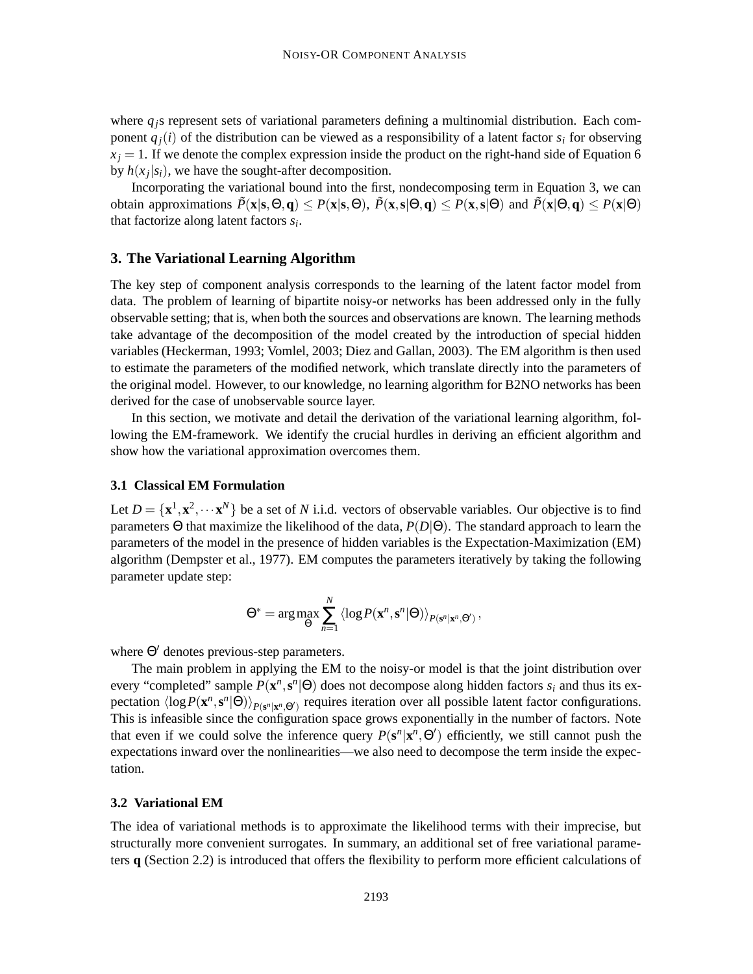where  $q_j$ s represent sets of variational parameters defining a multinomial distribution. Each component  $q_i(i)$  of the distribution can be viewed as a responsibility of a latent factor  $s_i$  for observing  $x_i = 1$ . If we denote the complex expression inside the product on the right-hand side of Equation 6 by  $h(x_j|s_i)$ , we have the sought-after decomposition.

Incorporating the variational bound into the first, nondecomposing term in Equation 3, we can **obtain approximations**  $\tilde{P}(\mathbf{x}|\mathbf{s},\Theta,\mathbf{q}) \leq P(\mathbf{x}|\mathbf{s},\Theta)$ ,  $\tilde{P}(\mathbf{x},\mathbf{s}|\Theta,\mathbf{q}) \leq P(\mathbf{x},\mathbf{s}|\Theta)$  and  $\tilde{P}(\mathbf{x}|\Theta,\mathbf{q}) \leq P(\mathbf{x}|\Theta)$ that factorize along latent factors *s<sup>i</sup>* .

#### **3. The Variational Learning Algorithm**

The key step of component analysis corresponds to the learning of the latent factor model from data. The problem of learning of bipartite noisy-or networks has been addressed only in the fully observable setting; that is, when both the sources and observations are known. The learning methods take advantage of the decomposition of the model created by the introduction of special hidden variables (Heckerman, 1993; Vomlel, 2003; Diez and Gallan, 2003). The EM algorithm is then used to estimate the parameters of the modified network, which translate directly into the parameters of the original model. However, to our knowledge, no learning algorithm for B2NO networks has been derived for the case of unobservable source layer.

In this section, we motivate and detail the derivation of the variational learning algorithm, following the EM-framework. We identify the crucial hurdles in deriving an efficient algorithm and show how the variational approximation overcomes them.

#### **3.1 Classical EM Formulation**

Let  $D = \{x^1, x^2, \dots x^N\}$  be a set of *N* i.i.d. vectors of observable variables. Our objective is to find parameters Θ that maximize the likelihood of the data, *P*(*D*|Θ). The standard approach to learn the parameters of the model in the presence of hidden variables is the Expectation-Maximization (EM) algorithm (Dempster et al., 1977). EM computes the parameters iteratively by taking the following parameter update step:

$$
\Theta^* = \arg \max_{\Theta} \sum_{n=1}^N \left\langle \log P(\mathbf{x}^n, \mathbf{s}^n | \Theta) \right\rangle_{P(\mathbf{s}^n | \mathbf{x}^n, \Theta^{\prime})},
$$

where  $Θ'$  denotes previous-step parameters.

The main problem in applying the EM to the noisy-or model is that the joint distribution over every "completed" sample  $P(\mathbf{x}^n, \mathbf{s}^n | \Theta)$  does not decompose along hidden factors  $s_i$  and thus its expectation  $\langle \log P(\mathbf{x}^n, \mathbf{s}^n | \Theta) \rangle_{P(\mathbf{s}^n | \mathbf{x}^n, \Theta')}$  requires iteration over all possible latent factor configurations. This is infeasible since the configuration space grows exponentially in the number of factors. Note that even if we could solve the inference query  $P(s^n | x^n, \Theta)$  efficiently, we still cannot push the expectations inward over the nonlinearities—we also need to decompose the term inside the expectation.

#### **3.2 Variational EM**

The idea of variational methods is to approximate the likelihood terms with their imprecise, but structurally more convenient surrogates. In summary, an additional set of free variational parameters **q** (Section 2.2) is introduced that offers the flexibility to perform more efficient calculations of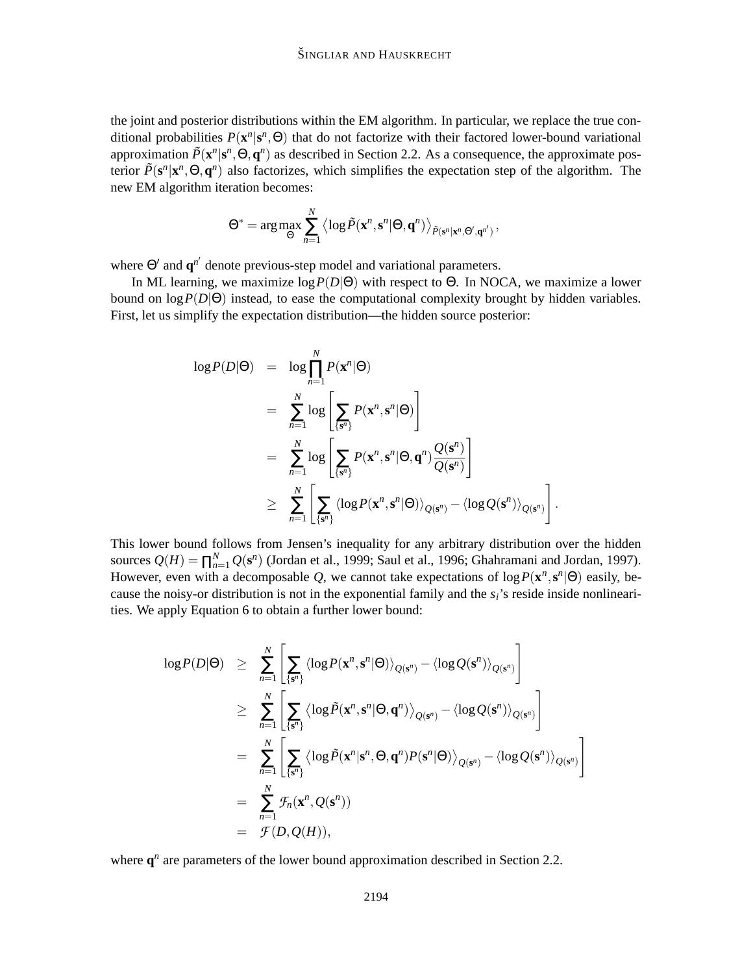the joint and posterior distributions within the EM algorithm. In particular, we replace the true conditional probabilities  $P(\mathbf{x}^n | \mathbf{s}^n, \Theta)$  that do not factorize with their factored lower-bound variational approximation  $\tilde{P}(\mathbf{x}^n | \mathbf{s}^n, \Theta, \mathbf{q}^n)$  as described in Section 2.2. As a consequence, the approximate posterior  $\tilde{P}(s^n | x^n, \Theta, q^n)$  also factorizes, which simplifies the expectation step of the algorithm. The new EM algorithm iteration becomes:

$$
\Theta^* = \arg\max_{\Theta} \sum_{n=1}^N \left\langle \log \tilde{P}(\mathbf{x}^n, \mathbf{s}^n | \Theta, \mathbf{q}^n) \right\rangle_{\tilde{P}(\mathbf{s}^n | \mathbf{x}^n, \Theta', \mathbf{q}^{n'})},
$$

where  $\Theta'$  and  $\mathbf{q}^{n'}$  denote previous-step model and variational parameters.

In ML learning, we maximize log*P*(*D*|Θ) with respect to Θ. In NOCA, we maximize a lower bound on  $\log P(D|\Theta)$  instead, to ease the computational complexity brought by hidden variables. First, let us simplify the expectation distribution—the hidden source posterior:

$$
\log P(D|\Theta) = \log \prod_{n=1}^{N} P(\mathbf{x}^{n}|\Theta)
$$
  
= 
$$
\sum_{n=1}^{N} \log \left[ \sum_{\{\mathbf{s}^{n}\}} P(\mathbf{x}^{n}, \mathbf{s}^{n}|\Theta) \right]
$$
  
= 
$$
\sum_{n=1}^{N} \log \left[ \sum_{\{\mathbf{s}^{n}\}} P(\mathbf{x}^{n}, \mathbf{s}^{n}|\Theta, \mathbf{q}^{n}) \frac{Q(\mathbf{s}^{n})}{Q(\mathbf{s}^{n})} \right]
$$
  

$$
\geq \sum_{n=1}^{N} \left[ \sum_{\{\mathbf{s}^{n}\}} \langle \log P(\mathbf{x}^{n}, \mathbf{s}^{n}|\Theta) \rangle_{Q(\mathbf{s}^{n})} - \langle \log Q(\mathbf{s}^{n}) \rangle_{Q(\mathbf{s}^{n})} \right].
$$

This lower bound follows from Jensen's inequality for any arbitrary distribution over the hidden sources  $Q(H) = \prod_{n=1}^{N} Q(\mathbf{s}^n)$  (Jordan et al., 1999; Saul et al., 1996; Ghahramani and Jordan, 1997). However, even with a decomposable Q, we cannot take expectations of  $\log P(\mathbf{x}^n, \mathbf{s}^n | \Theta)$  easily, because the noisy-or distribution is not in the exponential family and the  $s_i$ 's reside inside nonlinearities. We apply Equation 6 to obtain a further lower bound:

$$
\log P(D|\Theta) \geq \sum_{n=1}^{N} \left[ \sum_{\{s^n\}} \langle \log P(\mathbf{x}^n, \mathbf{s}^n | \Theta) \rangle_{Q(\mathbf{s}^n)} - \langle \log Q(\mathbf{s}^n) \rangle_{Q(\mathbf{s}^n)} \right]
$$
  
\n
$$
\geq \sum_{n=1}^{N} \left[ \sum_{\{s^n\}} \langle \log \tilde{P}(\mathbf{x}^n, \mathbf{s}^n | \Theta, \mathbf{q}^n) \rangle_{Q(\mathbf{s}^n)} - \langle \log Q(\mathbf{s}^n) \rangle_{Q(\mathbf{s}^n)} \right]
$$
  
\n
$$
= \sum_{n=1}^{N} \left[ \sum_{\{s^n\}} \langle \log \tilde{P}(\mathbf{x}^n | \mathbf{s}^n, \Theta, \mathbf{q}^n) P(\mathbf{s}^n | \Theta) \rangle_{Q(\mathbf{s}^n)} - \langle \log Q(\mathbf{s}^n) \rangle_{Q(\mathbf{s}^n)} \right]
$$
  
\n
$$
= \sum_{n=1}^{N} \mathcal{F}_n(\mathbf{x}^n, Q(\mathbf{s}^n))
$$
  
\n
$$
= \mathcal{F}(D, Q(H)),
$$

where  $q^n$  are parameters of the lower bound approximation described in Section 2.2.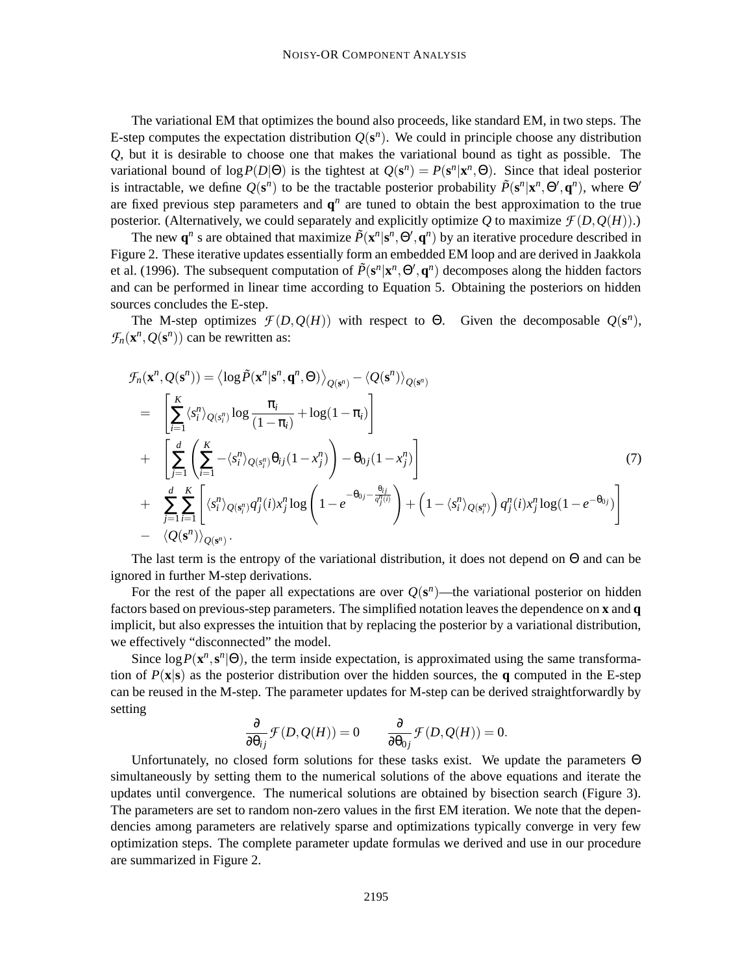The variational EM that optimizes the bound also proceeds, like standard EM, in two steps. The E-step computes the expectation distribution  $Q(s^n)$ . We could in principle choose any distribution *Q*, but it is desirable to choose one that makes the variational bound as tight as possible. The variational bound of  $\log P(D|\Theta)$  is the tightest at  $Q(s^n) = P(s^n | \mathbf{x}^n, \Theta)$ . Since that ideal posterior is intractable, we define  $Q(s^n)$  to be the tractable posterior probability  $\tilde{P}(s^n | x^n, \Theta', q^n)$ , where  $\Theta'$ are fixed previous step parameters and  $q<sup>n</sup>$  are tuned to obtain the best approximation to the true posterior. (Alternatively, we could separately and explicitly optimize  $Q$  to maximize  $\mathcal{F}(D, Q(H))$ .)

The new  $\mathbf{q}^n$  s are obtained that maximize  $\tilde{P}(\mathbf{x}^n | \mathbf{s}^n, \Theta', \mathbf{q}^n)$  by an iterative procedure described in Figure 2. These iterative updates essentially form an embedded EM loop and are derived in Jaakkola et al. (1996). The subsequent computation of  $\tilde{P}(\mathbf{s}^n|\mathbf{x}^n,\Theta',\mathbf{q}^n)$  decomposes along the hidden factors and can be performed in linear time according to Equation 5. Obtaining the posteriors on hidden sources concludes the E-step.

The M-step optimizes  $\mathcal{F}(D, Q(H))$  with respect to  $\Theta$ . Given the decomposable  $Q(\mathbf{s}^n)$ ,  $\mathcal{F}_n(\mathbf{x}^n, Q(\mathbf{s}^n))$  can be rewritten as:

$$
\mathcal{F}_n(\mathbf{x}^n, Q(\mathbf{s}^n)) = \left\langle \log \tilde{P}(\mathbf{x}^n | \mathbf{s}^n, \mathbf{q}^n, \Theta) \right\rangle_{Q(\mathbf{s}^n)} - \left\langle Q(\mathbf{s}^n) \right\rangle_{Q(\mathbf{s}^n)}
$$
\n
$$
= \left[ \sum_{i=1}^K \left\langle s_i^n \right\rangle_{Q(s_i^n)} \log \frac{\pi_i}{(1 - \pi_i)} + \log(1 - \pi_i) \right]
$$
\n
$$
+ \left[ \sum_{j=1}^d \left( \sum_{i=1}^K - \left\langle s_i^n \right\rangle_{Q(s_i^n)} \theta_{ij} (1 - x_j^n) \right) - \theta_{0j} (1 - x_j^n) \right]
$$
\n
$$
+ \sum_{j=1}^d \sum_{i=1}^K \left[ \left\langle s_i^n \right\rangle_{Q(s_i^n)} q_j^n(i) x_j^n \log \left( 1 - e^{-\theta_{0j} - \frac{\theta_{ij}}{q_j^n(i)}} \right) + \left( 1 - \left\langle s_i^n \right\rangle_{Q(s_i^n)} \right) q_j^n(i) x_j^n \log (1 - e^{-\theta_{0j}}) \right]
$$
\n
$$
- \left\langle Q(\mathbf{s}^n) \right\rangle_{Q(\mathbf{s}^n)}.
$$
\n(7)

The last term is the entropy of the variational distribution, it does not depend on Θ and can be ignored in further M-step derivations.

For the rest of the paper all expectations are over  $Q(s^n)$ —the variational posterior on hidden factors based on previous-step parameters. The simplified notation leaves the dependence on **x** and **q** implicit, but also expresses the intuition that by replacing the posterior by a variational distribution, we effectively "disconnected" the model.

Since  $\log P(\mathbf{x}^n, \mathbf{s}^n | \Theta)$ , the term inside expectation, is approximated using the same transformation of *P*(**x**|**s**) as the posterior distribution over the hidden sources, the **q** computed in the E-step can be reused in the M-step. The parameter updates for M-step can be derived straightforwardly by setting

$$
\frac{\partial}{\partial \theta_{ij}} \mathcal{F}(D, Q(H)) = 0 \qquad \frac{\partial}{\partial \theta_{0j}} \mathcal{F}(D, Q(H)) = 0.
$$

Unfortunately, no closed form solutions for these tasks exist. We update the parameters Θ simultaneously by setting them to the numerical solutions of the above equations and iterate the updates until convergence. The numerical solutions are obtained by bisection search (Figure 3). The parameters are set to random non-zero values in the first EM iteration. We note that the dependencies among parameters are relatively sparse and optimizations typically converge in very few optimization steps. The complete parameter update formulas we derived and use in our procedure are summarized in Figure 2.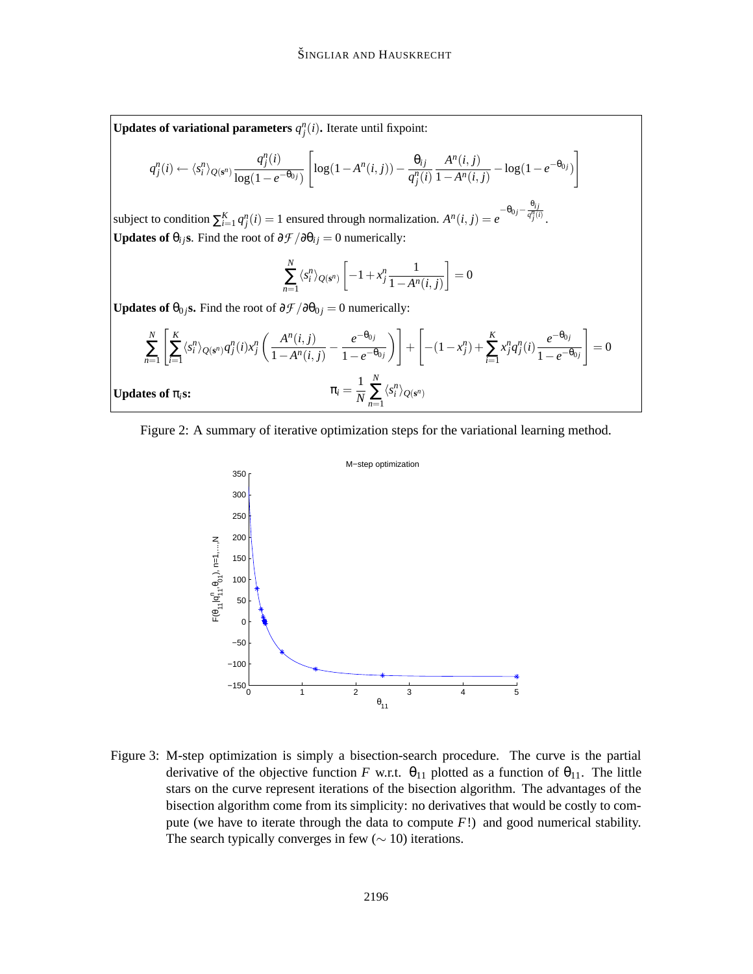**Updates of variational parameters**  $q_j^n(i)$ . Iterate until fixpoint:

$$
q_j^n(i) \leftarrow \langle s_i^n \rangle_{Q(s^n)} \frac{q_j^n(i)}{\log(1 - e^{-\theta_{0j}})} \left[ \log(1 - A^n(i, j)) - \frac{\theta_{ij}}{q_j^n(i)} \frac{A^n(i, j)}{1 - A^n(i, j)} - \log(1 - e^{-\theta_{0j}}) \right]
$$

subject to condition  $\sum_{i=1}^{K} q_i^n(i) = 1$  ensured through normalization.  $A^n(i, j) = e$  $-\theta_{0j} - \frac{\theta_{ij}}{q_j^n(i)}$ . **Updates of**  $\theta_{ij}$ s. Find the root of  $\partial \mathcal{F}/\partial \theta_{ij} = 0$  numerically:

$$
\sum_{n=1}^{N} \langle s_i^n \rangle_{Q(\mathbf{s}^n)} \left[ -1 + x_j^n \frac{1}{1 - A^n(i,j)} \right] = 0
$$

**Updates of**  $\theta_{0}$  *j***s.** Find the root of  $\partial \mathcal{F}/\partial \theta_{0}$  *j* = 0 numerically:

$$
\sum_{n=1}^{N} \left[ \sum_{i=1}^{K} \langle s_i^n \rangle_{Q(\mathbf{s}^n)} q_j^n(i) x_j^n \left( \frac{A^n(i,j)}{1 - A^n(i,j)} - \frac{e^{-\theta_{0j}}}{1 - e^{-\theta_{0j}}} \right) \right] + \left[ -(1 - x_j^n) + \sum_{i=1}^{K} x_j^n q_j^n(i) \frac{e^{-\theta_{0j}}}{1 - e^{-\theta_{0j}}} \right] = 0
$$
  
Updates of  $\pi_i$ s:  

$$
\pi_i = \frac{1}{N} \sum_{n=1}^{N} \langle s_i^n \rangle_{Q(\mathbf{s}^n)}
$$





Figure 3: M-step optimization is simply a bisection-search procedure. The curve is the partial derivative of the objective function *F* w.r.t.  $\theta_{11}$  plotted as a function of  $\theta_{11}$ . The little stars on the curve represent iterations of the bisection algorithm. The advantages of the bisection algorithm come from its simplicity: no derivatives that would be costly to compute (we have to iterate through the data to compute *F*!) and good numerical stability. The search typically converges in few  $(\sim 10)$  iterations.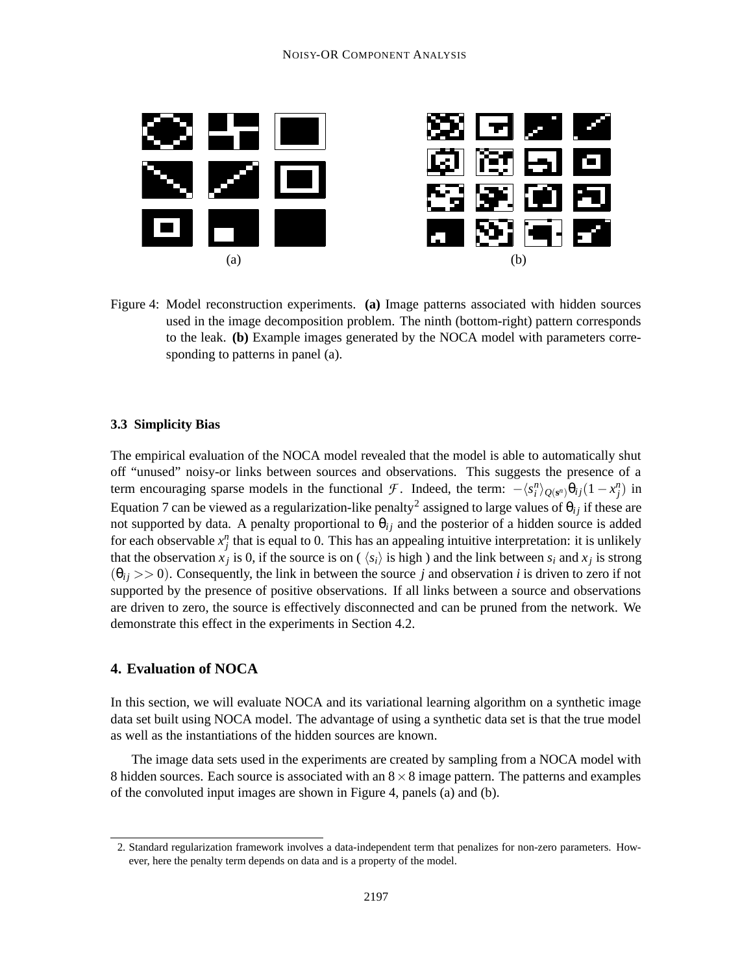

Figure 4: Model reconstruction experiments. **(a)** Image patterns associated with hidden sources used in the image decomposition problem. The ninth (bottom-right) pattern corresponds to the leak. **(b)** Example images generated by the NOCA model with parameters corresponding to patterns in panel (a).

#### **3.3 Simplicity Bias**

The empirical evaluation of the NOCA model revealed that the model is able to automatically shut off "unused" noisy-or links between sources and observations. This suggests the presence of a term encouraging sparse models in the functional *F*. Indeed, the term:  $-\langle s_i^n \rangle_{Q(s^n)} \theta_{ij} (1 - x_j^n)$  in Equation 7 can be viewed as a regularization-like penalty<sup>2</sup> assigned to large values of  $\theta_{ij}$  if these are not supported by data. A penalty proportional to  $\theta_{ij}$  and the posterior of a hidden source is added for each observable  $x_j^n$  that is equal to 0. This has an appealing intuitive interpretation: it is unlikely that the observation  $x_j$  is 0, if the source is on ( $\langle s_i \rangle$  is high) and the link between  $s_i$  and  $x_j$  is strong  $(\theta_{ij} \gg 0)$ . Consequently, the link in between the source *j* and observation *i* is driven to zero if not supported by the presence of positive observations. If all links between a source and observations are driven to zero, the source is effectively disconnected and can be pruned from the network. We demonstrate this effect in the experiments in Section 4.2.

## **4. Evaluation of NOCA**

In this section, we will evaluate NOCA and its variational learning algorithm on a synthetic image data set built using NOCA model. The advantage of using a synthetic data set is that the true model as well as the instantiations of the hidden sources are known.

The image data sets used in the experiments are created by sampling from a NOCA model with 8 hidden sources. Each source is associated with an  $8 \times 8$  image pattern. The patterns and examples of the convoluted input images are shown in Figure 4, panels (a) and (b).

<sup>2.</sup> Standard regularization framework involves a data-independent term that penalizes for non-zero parameters. However, here the penalty term depends on data and is a property of the model.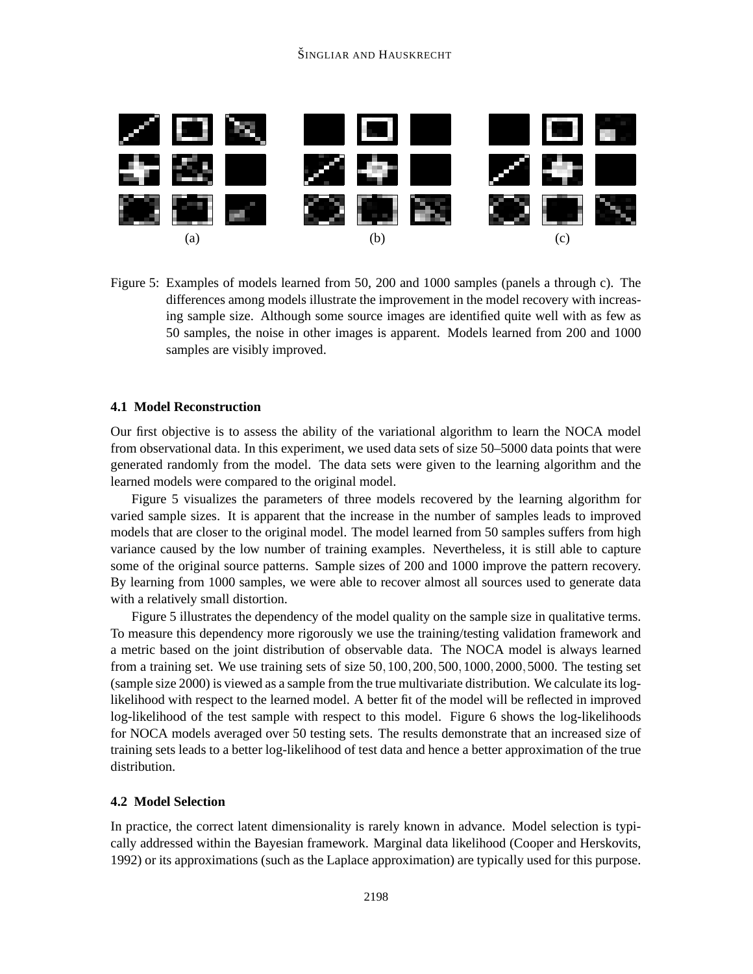

Figure 5: Examples of models learned from 50, 200 and 1000 samples (panels a through c). The differences among models illustrate the improvement in the model recovery with increasing sample size. Although some source images are identified quite well with as few as 50 samples, the noise in other images is apparent. Models learned from 200 and 1000 samples are visibly improved.

### **4.1 Model Reconstruction**

Our first objective is to assess the ability of the variational algorithm to learn the NOCA model from observational data. In this experiment, we used data sets of size 50–5000 data points that were generated randomly from the model. The data sets were given to the learning algorithm and the learned models were compared to the original model.

Figure 5 visualizes the parameters of three models recovered by the learning algorithm for varied sample sizes. It is apparent that the increase in the number of samples leads to improved models that are closer to the original model. The model learned from 50 samples suffers from high variance caused by the low number of training examples. Nevertheless, it is still able to capture some of the original source patterns. Sample sizes of 200 and 1000 improve the pattern recovery. By learning from 1000 samples, we were able to recover almost all sources used to generate data with a relatively small distortion.

Figure 5 illustrates the dependency of the model quality on the sample size in qualitative terms. To measure this dependency more rigorously we use the training/testing validation framework and a metric based on the joint distribution of observable data. The NOCA model is always learned from a training set. We use training sets of size 50,100,200,500,1000,2000,5000. The testing set (sample size 2000) is viewed as a sample from the true multivariate distribution. We calculate its loglikelihood with respect to the learned model. A better fit of the model will be reflected in improved log-likelihood of the test sample with respect to this model. Figure 6 shows the log-likelihoods for NOCA models averaged over 50 testing sets. The results demonstrate that an increased size of training sets leads to a better log-likelihood of test data and hence a better approximation of the true distribution.

#### **4.2 Model Selection**

In practice, the correct latent dimensionality is rarely known in advance. Model selection is typically addressed within the Bayesian framework. Marginal data likelihood (Cooper and Herskovits, 1992) or its approximations (such as the Laplace approximation) are typically used for this purpose.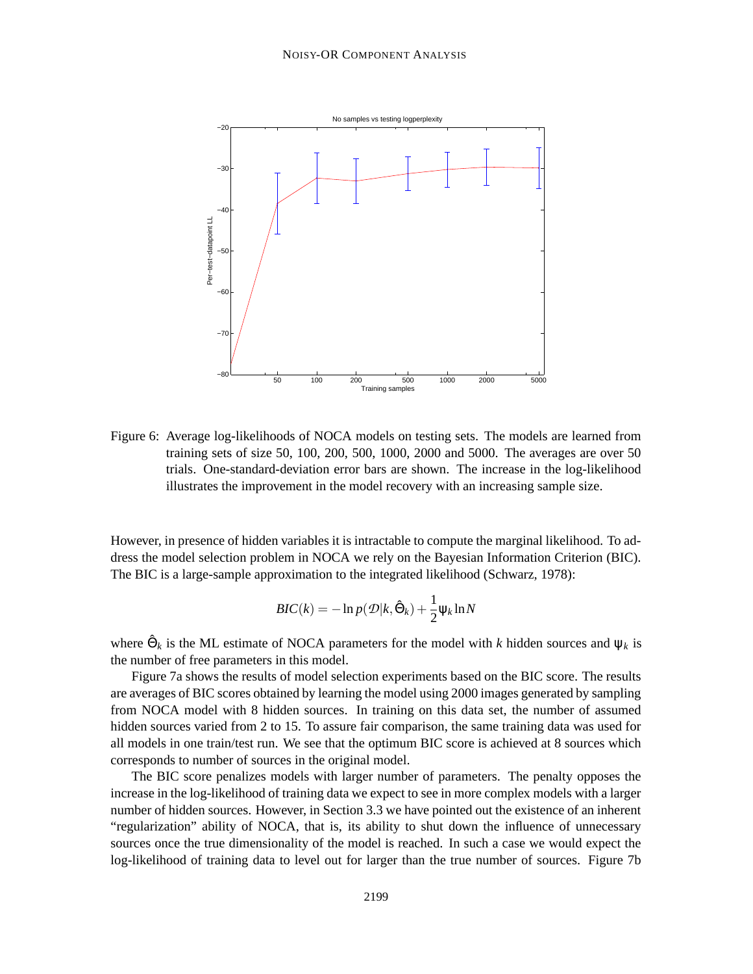

Figure 6: Average log-likelihoods of NOCA models on testing sets. The models are learned from training sets of size 50, 100, 200, 500, 1000, 2000 and 5000. The averages are over 50 trials. One-standard-deviation error bars are shown. The increase in the log-likelihood illustrates the improvement in the model recovery with an increasing sample size.

However, in presence of hidden variables it is intractable to compute the marginal likelihood. To address the model selection problem in NOCA we rely on the Bayesian Information Criterion (BIC). The BIC is a large-sample approximation to the integrated likelihood (Schwarz, 1978):

$$
BIC(k) = -\ln p(\mathcal{D}|k, \hat{\Theta}_k) + \frac{1}{2}\Psi_k \ln N
$$

where  $\hat{\Theta}_k$  is the ML estimate of NOCA parameters for the model with *k* hidden sources and  $\psi_k$  is the number of free parameters in this model.

Figure 7a shows the results of model selection experiments based on the BIC score. The results are averages of BIC scores obtained by learning the model using 2000 images generated by sampling from NOCA model with 8 hidden sources. In training on this data set, the number of assumed hidden sources varied from 2 to 15. To assure fair comparison, the same training data was used for all models in one train/test run. We see that the optimum BIC score is achieved at 8 sources which corresponds to number of sources in the original model.

The BIC score penalizes models with larger number of parameters. The penalty opposes the increase in the log-likelihood of training data we expect to see in more complex models with a larger number of hidden sources. However, in Section 3.3 we have pointed out the existence of an inherent "regularization" ability of NOCA, that is, its ability to shut down the influence of unnecessary sources once the true dimensionality of the model is reached. In such a case we would expect the log-likelihood of training data to level out for larger than the true number of sources. Figure 7b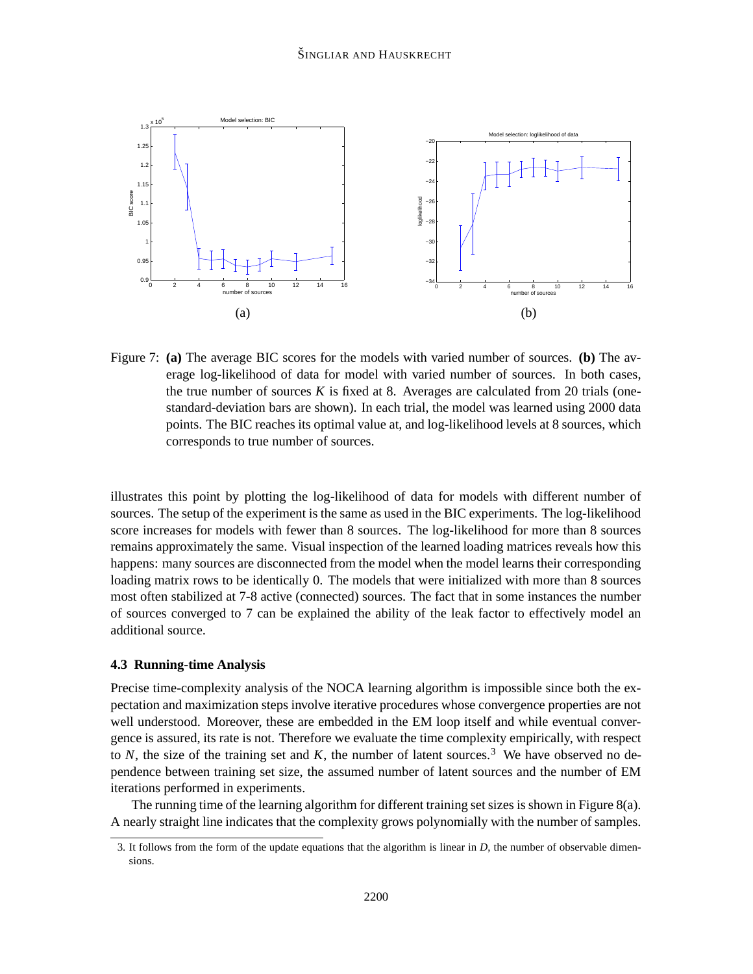

Figure 7: **(a)** The average BIC scores for the models with varied number of sources. **(b)** The average log-likelihood of data for model with varied number of sources. In both cases, the true number of sources  $K$  is fixed at 8. Averages are calculated from 20 trials (onestandard-deviation bars are shown). In each trial, the model was learned using 2000 data points. The BIC reaches its optimal value at, and log-likelihood levels at 8 sources, which corresponds to true number of sources.

illustrates this point by plotting the log-likelihood of data for models with different number of sources. The setup of the experiment is the same as used in the BIC experiments. The log-likelihood score increases for models with fewer than 8 sources. The log-likelihood for more than 8 sources remains approximately the same. Visual inspection of the learned loading matrices reveals how this happens: many sources are disconnected from the model when the model learns their corresponding loading matrix rows to be identically 0. The models that were initialized with more than 8 sources most often stabilized at 7-8 active (connected) sources. The fact that in some instances the number of sources converged to 7 can be explained the ability of the leak factor to effectively model an additional source.

## **4.3 Running-time Analysis**

Precise time-complexity analysis of the NOCA learning algorithm is impossible since both the expectation and maximization steps involve iterative procedures whose convergence properties are not well understood. Moreover, these are embedded in the EM loop itself and while eventual convergence is assured, its rate is not. Therefore we evaluate the time complexity empirically, with respect to  $N$ , the size of the training set and  $K$ , the number of latent sources.<sup>3</sup> We have observed no dependence between training set size, the assumed number of latent sources and the number of EM iterations performed in experiments.

The running time of the learning algorithm for different training set sizes is shown in Figure 8(a). A nearly straight line indicates that the complexity grows polynomially with the number of samples.

<sup>3.</sup> It follows from the form of the update equations that the algorithm is linear in *D*, the number of observable dimensions.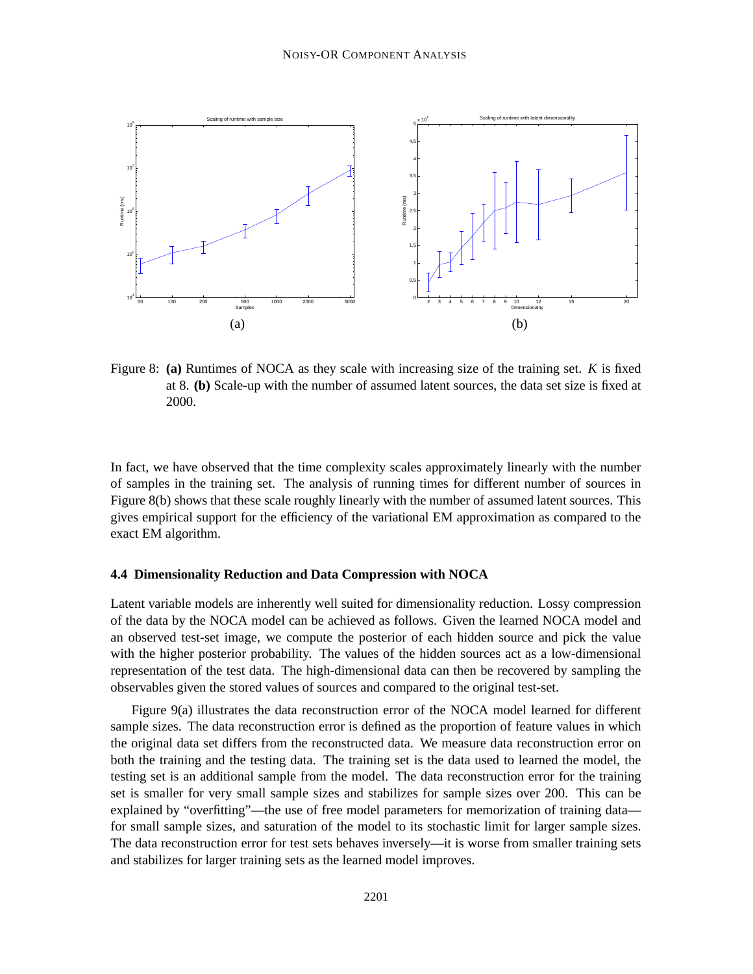

Figure 8: **(a)** Runtimes of NOCA as they scale with increasing size of the training set. *K* is fixed at 8. **(b)** Scale-up with the number of assumed latent sources, the data set size is fixed at 2000.

In fact, we have observed that the time complexity scales approximately linearly with the number of samples in the training set. The analysis of running times for different number of sources in Figure 8(b) shows that these scale roughly linearly with the number of assumed latent sources. This gives empirical support for the efficiency of the variational EM approximation as compared to the exact EM algorithm.

#### **4.4 Dimensionality Reduction and Data Compression with NOCA**

Latent variable models are inherently well suited for dimensionality reduction. Lossy compression of the data by the NOCA model can be achieved as follows. Given the learned NOCA model and an observed test-set image, we compute the posterior of each hidden source and pick the value with the higher posterior probability. The values of the hidden sources act as a low-dimensional representation of the test data. The high-dimensional data can then be recovered by sampling the observables given the stored values of sources and compared to the original test-set.

Figure 9(a) illustrates the data reconstruction error of the NOCA model learned for different sample sizes. The data reconstruction error is defined as the proportion of feature values in which the original data set differs from the reconstructed data. We measure data reconstruction error on both the training and the testing data. The training set is the data used to learned the model, the testing set is an additional sample from the model. The data reconstruction error for the training set is smaller for very small sample sizes and stabilizes for sample sizes over 200. This can be explained by "overfitting"—the use of free model parameters for memorization of training data for small sample sizes, and saturation of the model to its stochastic limit for larger sample sizes. The data reconstruction error for test sets behaves inversely—it is worse from smaller training sets and stabilizes for larger training sets as the learned model improves.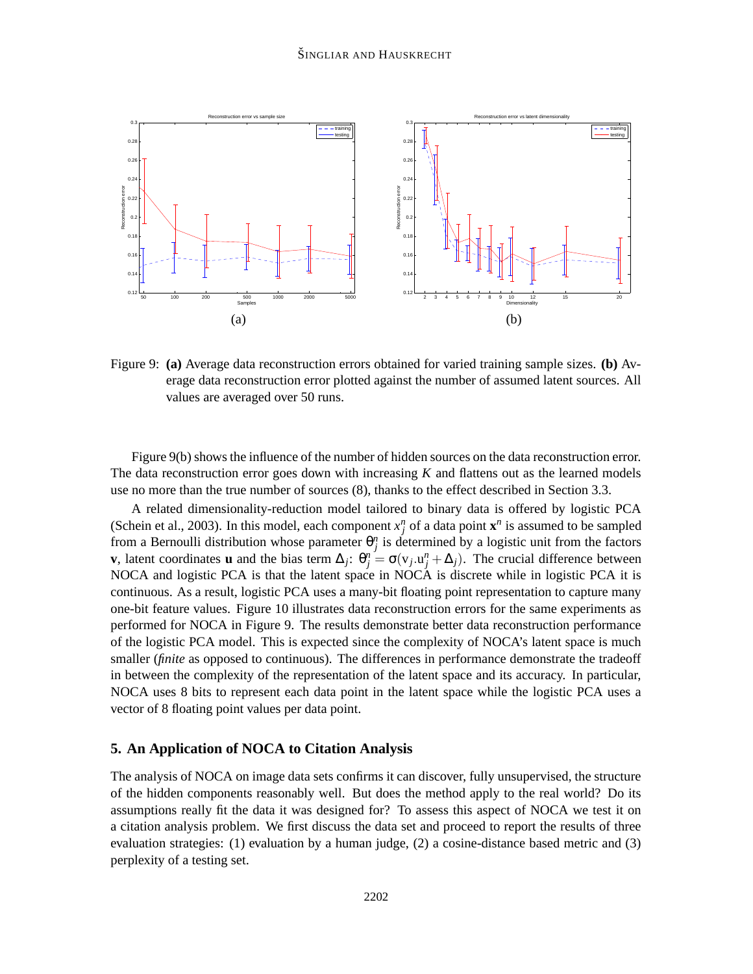

Figure 9: **(a)** Average data reconstruction errors obtained for varied training sample sizes. **(b)** Average data reconstruction error plotted against the number of assumed latent sources. All values are averaged over 50 runs.

Figure 9(b) shows the influence of the number of hidden sources on the data reconstruction error. The data reconstruction error goes down with increasing *K* and flattens out as the learned models use no more than the true number of sources (8), thanks to the effect described in Section 3.3.

A related dimensionality-reduction model tailored to binary data is offered by logistic PCA (Schein et al., 2003). In this model, each component  $x_j^n$  of a data point  $\mathbf{x}^n$  is assumed to be sampled from a Bernoulli distribution whose parameter  $\theta_j^n$  is determined by a logistic unit from the factors **v**, latent coordinates **u** and the bias term  $\Delta_j$ :  $\theta_j^n = \sigma(v_j \cdot u_j^n + \Delta_j)$ . The crucial difference between NOCA and logistic PCA is that the latent space in NOCA is discrete while in logistic PCA it is continuous. As a result, logistic PCA uses a many-bit floating point representation to capture many one-bit feature values. Figure 10 illustrates data reconstruction errors for the same experiments as performed for NOCA in Figure 9. The results demonstrate better data reconstruction performance of the logistic PCA model. This is expected since the complexity of NOCA's latent space is much smaller *(finite* as opposed to continuous). The differences in performance demonstrate the tradeoff in between the complexity of the representation of the latent space and its accuracy. In particular, NOCA uses 8 bits to represent each data point in the latent space while the logistic PCA uses a vector of 8 floating point values per data point.

### **5. An Application of NOCA to Citation Analysis**

The analysis of NOCA on image data sets confirms it can discover, fully unsupervised, the structure of the hidden components reasonably well. But does the method apply to the real world? Do its assumptions really fit the data it was designed for? To assess this aspect of NOCA we test it on a citation analysis problem. We first discuss the data set and proceed to report the results of three evaluation strategies: (1) evaluation by a human judge, (2) a cosine-distance based metric and (3) perplexity of a testing set.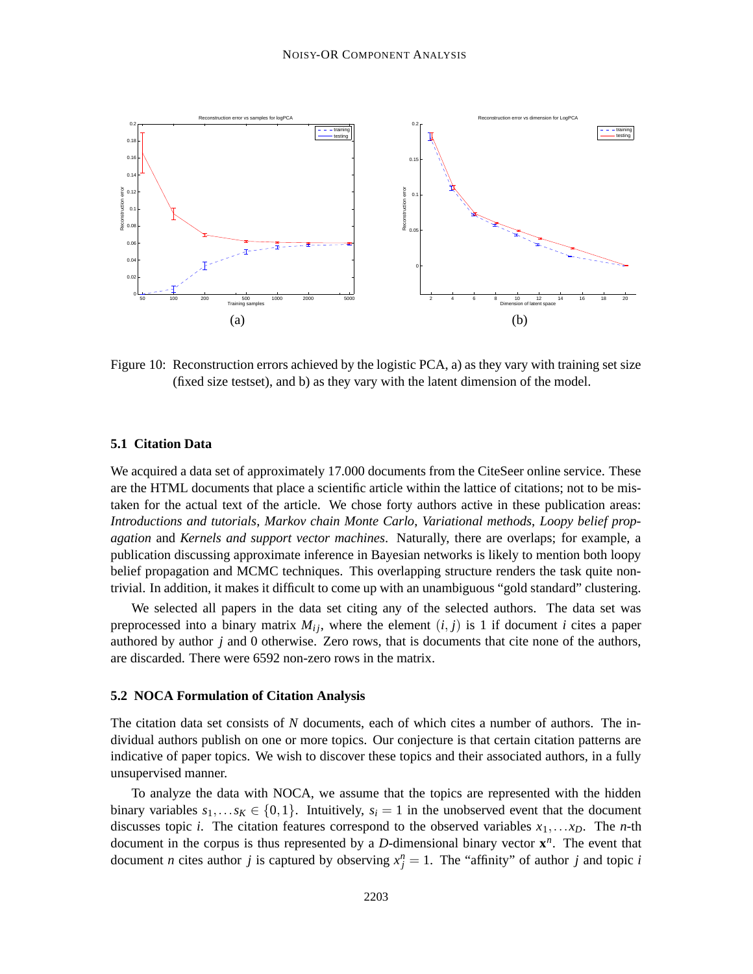

Figure 10: Reconstruction errors achieved by the logistic PCA, a) as they vary with training set size (fixed size testset), and b) as they vary with the latent dimension of the model.

#### **5.1 Citation Data**

We acquired a data set of approximately 17.000 documents from the CiteSeer online service. These are the HTML documents that place a scientific article within the lattice of citations; not to be mistaken for the actual text of the article. We chose forty authors active in these publication areas: *Introductions and tutorials*, *Markov chain Monte Carlo*, *Variational methods*, *Loopy belief propagation* and *Kernels and support vector machines*. Naturally, there are overlaps; for example, a publication discussing approximate inference in Bayesian networks is likely to mention both loopy belief propagation and MCMC techniques. This overlapping structure renders the task quite nontrivial. In addition, it makes it difficult to come up with an unambiguous "gold standard" clustering.

We selected all papers in the data set citing any of the selected authors. The data set was preprocessed into a binary matrix  $M_{ij}$ , where the element  $(i, j)$  is 1 if document *i* cites a paper authored by author *j* and 0 otherwise. Zero rows, that is documents that cite none of the authors, are discarded. There were 6592 non-zero rows in the matrix.

#### **5.2 NOCA Formulation of Citation Analysis**

The citation data set consists of *N* documents, each of which cites a number of authors. The individual authors publish on one or more topics. Our conjecture is that certain citation patterns are indicative of paper topics. We wish to discover these topics and their associated authors, in a fully unsupervised manner.

To analyze the data with NOCA, we assume that the topics are represented with the hidden binary variables  $s_1, \ldots s_k \in \{0,1\}$ . Intuitively,  $s_i = 1$  in the unobserved event that the document discusses topic *i*. The citation features correspond to the observed variables  $x_1, \ldots x_p$ . The *n*-th document in the corpus is thus represented by a *D*-dimensional binary vector **x** *n* . The event that document *n* cites author *j* is captured by observing  $x_j^n = 1$ . The "affinity" of author *j* and topic *i*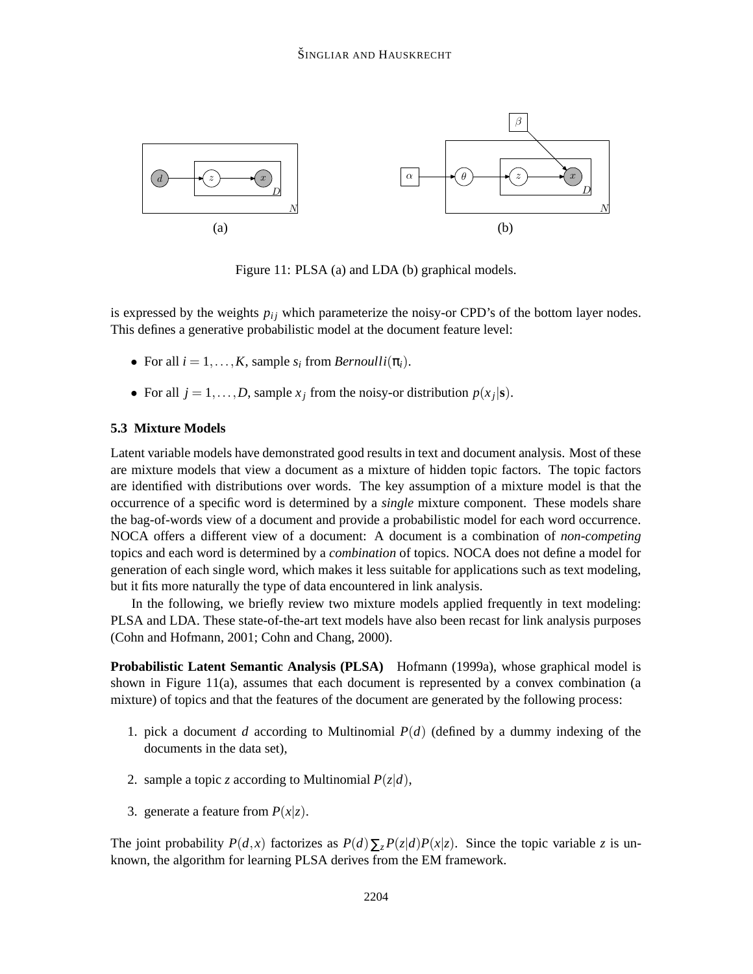

Figure 11: PLSA (a) and LDA (b) graphical models.

is expressed by the weights  $p_{ij}$  which parameterize the noisy-or CPD's of the bottom layer nodes. This defines a generative probabilistic model at the document feature level:

- For all  $i = 1, \ldots, K$ , sample  $s_i$  from *Bernoulli* $(\pi_i)$ .
- For all  $j = 1, ..., D$ , sample  $x_j$  from the noisy-or distribution  $p(x_j|\mathbf{s})$ .

### **5.3 Mixture Models**

Latent variable models have demonstrated good results in text and document analysis. Most of these are mixture models that view a document as a mixture of hidden topic factors. The topic factors are identified with distributions over words. The key assumption of a mixture model is that the occurrence of a specific word is determined by a *single* mixture component. These models share the bag-of-words view of a document and provide a probabilistic model for each word occurrence. NOCA offers a different view of a document: A document is a combination of *non-competing* topics and each word is determined by a *combination* of topics. NOCA does not define a model for generation of each single word, which makes it less suitable for applications such as text modeling, but it fits more naturally the type of data encountered in link analysis.

In the following, we briefly review two mixture models applied frequently in text modeling: PLSA and LDA. These state-of-the-art text models have also been recast for link analysis purposes (Cohn and Hofmann, 2001; Cohn and Chang, 2000).

**Probabilistic Latent Semantic Analysis (PLSA)** Hofmann (1999a), whose graphical model is shown in Figure 11(a), assumes that each document is represented by a convex combination (a mixture) of topics and that the features of the document are generated by the following process:

- 1. pick a document *d* according to Multinomial *P*(*d*) (defined by a dummy indexing of the documents in the data set),
- 2. sample a topic *z* according to Multinomial  $P(z|d)$ ,
- 3. generate a feature from  $P(x|z)$ .

The joint probability  $P(d, x)$  factorizes as  $P(d) \sum_{z} P(z|d) P(x|z)$ . Since the topic variable *z* is unknown, the algorithm for learning PLSA derives from the EM framework.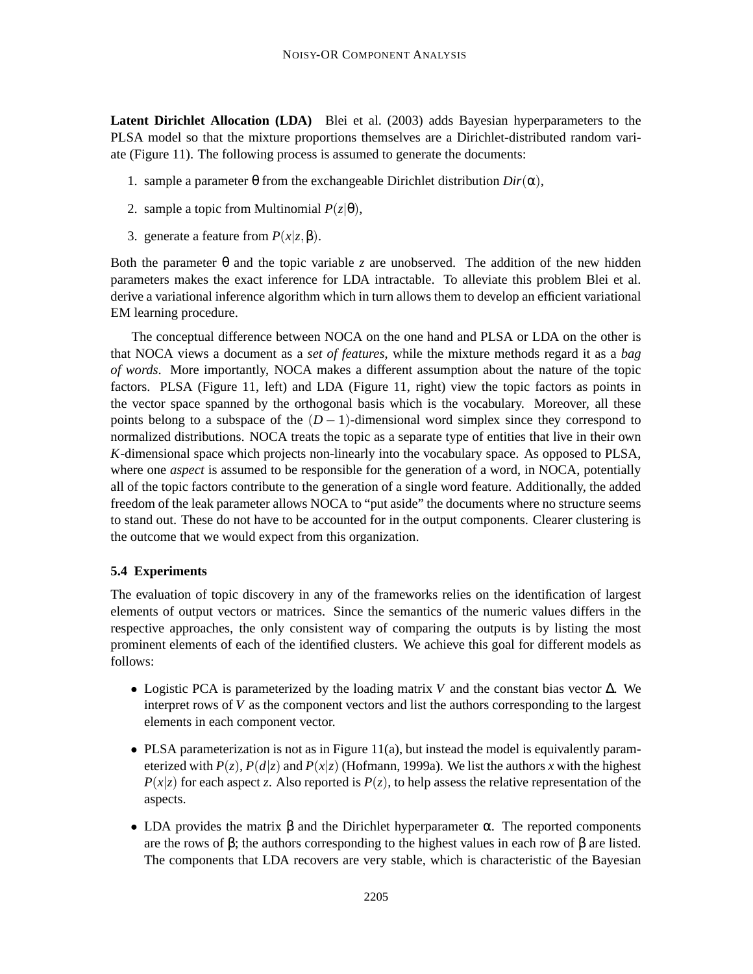**Latent Dirichlet Allocation (LDA)** Blei et al. (2003) adds Bayesian hyperparameters to the PLSA model so that the mixture proportions themselves are a Dirichlet-distributed random variate (Figure 11). The following process is assumed to generate the documents:

- 1. sample a parameter θ from the exchangeable Dirichlet distribution *Dir*(α),
- 2. sample a topic from Multinomial  $P(z|\theta)$ ,
- 3. generate a feature from  $P(x|z, \beta)$ .

Both the parameter  $\theta$  and the topic variable *z* are unobserved. The addition of the new hidden parameters makes the exact inference for LDA intractable. To alleviate this problem Blei et al. derive a variational inference algorithm which in turn allows them to develop an efficient variational EM learning procedure.

The conceptual difference between NOCA on the one hand and PLSA or LDA on the other is that NOCA views a document as a *set of features*, while the mixture methods regard it as a *bag of words*. More importantly, NOCA makes a different assumption about the nature of the topic factors. PLSA (Figure 11, left) and LDA (Figure 11, right) view the topic factors as points in the vector space spanned by the orthogonal basis which is the vocabulary. Moreover, all these points belong to a subspace of the  $(D-1)$ -dimensional word simplex since they correspond to normalized distributions. NOCA treats the topic as a separate type of entities that live in their own *K*-dimensional space which projects non-linearly into the vocabulary space. As opposed to PLSA, where one *aspect* is assumed to be responsible for the generation of a word, in NOCA, potentially all of the topic factors contribute to the generation of a single word feature. Additionally, the added freedom of the leak parameter allows NOCA to "put aside" the documents where no structure seems to stand out. These do not have to be accounted for in the output components. Clearer clustering is the outcome that we would expect from this organization.

#### **5.4 Experiments**

The evaluation of topic discovery in any of the frameworks relies on the identification of largest elements of output vectors or matrices. Since the semantics of the numeric values differs in the respective approaches, the only consistent way of comparing the outputs is by listing the most prominent elements of each of the identified clusters. We achieve this goal for different models as follows:

- Logistic PCA is parameterized by the loading matrix *V* and the constant bias vector ∆. We interpret rows of *V* as the component vectors and list the authors corresponding to the largest elements in each component vector.
- PLSA parameterization is not as in Figure 11(a), but instead the model is equivalently parameterized with  $P(z)$ ,  $P(d|z)$  and  $P(x|z)$  (Hofmann, 1999a). We list the authors x with the highest  $P(x|z)$  for each aspect *z*. Also reported is  $P(z)$ , to help assess the relative representation of the aspects.
- LDA provides the matrix  $\beta$  and the Dirichlet hyperparameter  $\alpha$ . The reported components are the rows of  $\beta$ ; the authors corresponding to the highest values in each row of  $\beta$  are listed. The components that LDA recovers are very stable, which is characteristic of the Bayesian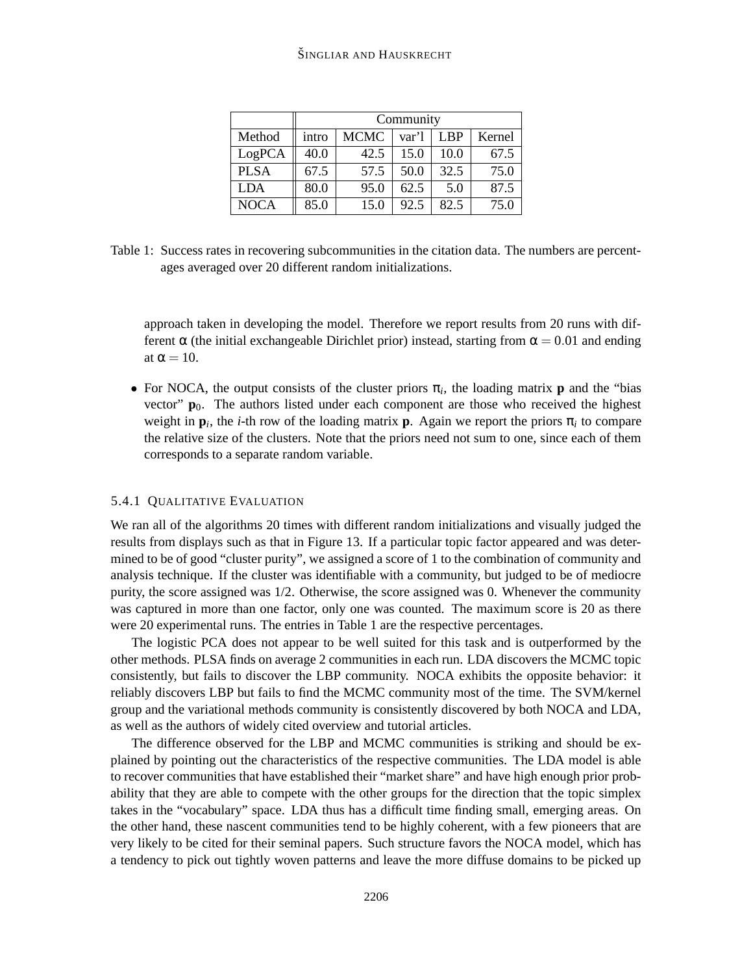### ŠINGLIAR AND HAUSKRECHT

|             | Community |             |       |      |        |  |  |
|-------------|-----------|-------------|-------|------|--------|--|--|
| Method      | intro     | <b>MCMC</b> | var'l | LBP  | Kernel |  |  |
| LogPCA      | 40.0      | 42.5        | 15.0  | 10.0 | 67.5   |  |  |
| <b>PLSA</b> | 67.5      | 57.5        | 50.0  | 32.5 | 75.0   |  |  |
| <b>LDA</b>  | 80.0      | 95.0        | 62.5  | 5.0  | 87.5   |  |  |
| <b>NOCA</b> | 85.0      | 15.0        | 92.5  | 82.5 | 75.0   |  |  |

Table 1: Success rates in recovering subcommunities in the citation data. The numbers are percentages averaged over 20 different random initializations.

approach taken in developing the model. Therefore we report results from 20 runs with different  $\alpha$  (the initial exchangeable Dirichlet prior) instead, starting from  $\alpha = 0.01$  and ending at  $\alpha = 10$ .

• For NOCA, the output consists of the cluster priors  $\pi$ <sub>i</sub>, the loading matrix **p** and the "bias vector"  $\mathbf{p}_0$ . The authors listed under each component are those who received the highest weight in  $\mathbf{p}_i$ , the *i*-th row of the loading matrix **p**. Again we report the priors  $\pi_i$  to compare the relative size of the clusters. Note that the priors need not sum to one, since each of them corresponds to a separate random variable.

## 5.4.1 QUALITATIVE EVALUATION

We ran all of the algorithms 20 times with different random initializations and visually judged the results from displays such as that in Figure 13. If a particular topic factor appeared and was determined to be of good "cluster purity", we assigned a score of 1 to the combination of community and analysis technique. If the cluster was identifiable with a community, but judged to be of mediocre purity, the score assigned was 1/2. Otherwise, the score assigned was 0. Whenever the community was captured in more than one factor, only one was counted. The maximum score is 20 as there were 20 experimental runs. The entries in Table 1 are the respective percentages.

The logistic PCA does not appear to be well suited for this task and is outperformed by the other methods. PLSA finds on average 2 communities in each run. LDA discovers the MCMC topic consistently, but fails to discover the LBP community. NOCA exhibits the opposite behavior: it reliably discovers LBP but fails to find the MCMC community most of the time. The SVM/kernel group and the variational methods community is consistently discovered by both NOCA and LDA, as well as the authors of widely cited overview and tutorial articles.

The difference observed for the LBP and MCMC communities is striking and should be explained by pointing out the characteristics of the respective communities. The LDA model is able to recover communities that have established their "market share" and have high enough prior probability that they are able to compete with the other groups for the direction that the topic simplex takes in the "vocabulary" space. LDA thus has a difficult time finding small, emerging areas. On the other hand, these nascent communities tend to be highly coherent, with a few pioneers that are very likely to be cited for their seminal papers. Such structure favors the NOCA model, which has a tendency to pick out tightly woven patterns and leave the more diffuse domains to be picked up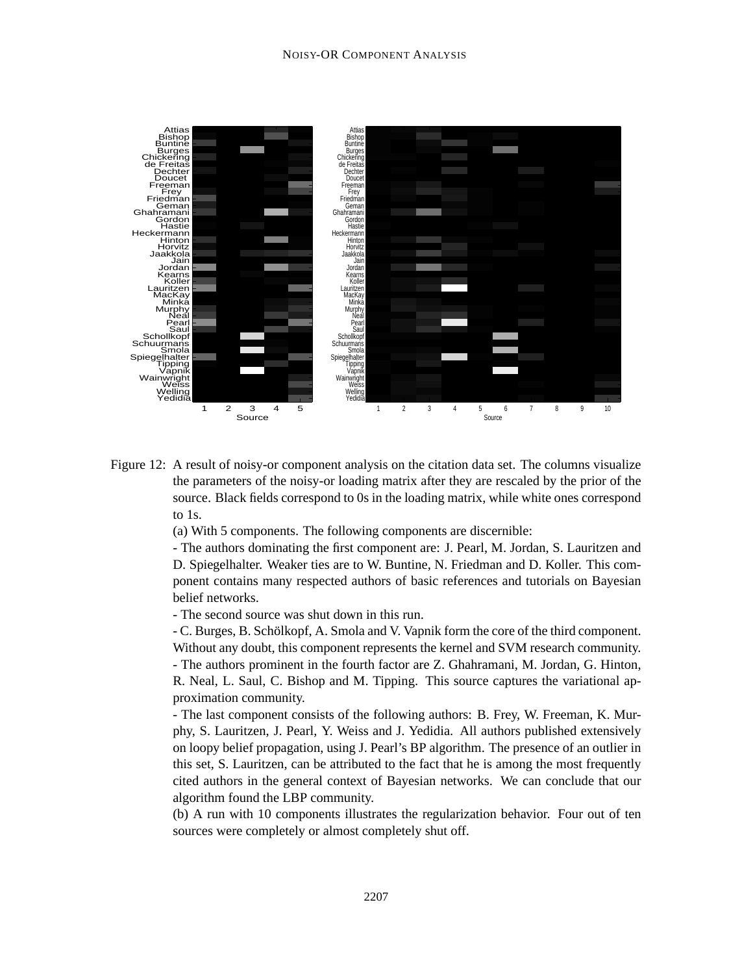

Figure 12: A result of noisy-or component analysis on the citation data set. The columns visualize the parameters of the noisy-or loading matrix after they are rescaled by the prior of the source. Black fields correspond to 0s in the loading matrix, while white ones correspond to 1s.

(a) With 5 components. The following components are discernible:

- The authors dominating the first component are: J. Pearl, M. Jordan, S. Lauritzen and D. Spiegelhalter. Weaker ties are to W. Buntine, N. Friedman and D. Koller. This component contains many respected authors of basic references and tutorials on Bayesian belief networks.

- The second source was shut down in this run.

- C. Burges, B. Schölkopf, A. Smola and V. Vapnik form the core of the third component. Without any doubt, this component represents the kernel and SVM research community. - The authors prominent in the fourth factor are Z. Ghahramani, M. Jordan, G. Hinton, R. Neal, L. Saul, C. Bishop and M. Tipping. This source captures the variational approximation community.

- The last component consists of the following authors: B. Frey, W. Freeman, K. Murphy, S. Lauritzen, J. Pearl, Y. Weiss and J. Yedidia. All authors published extensively on loopy belief propagation, using J. Pearl's BP algorithm. The presence of an outlier in this set, S. Lauritzen, can be attributed to the fact that he is among the most frequently cited authors in the general context of Bayesian networks. We can conclude that our algorithm found the LBP community.

(b) A run with 10 components illustrates the regularization behavior. Four out of ten sources were completely or almost completely shut off.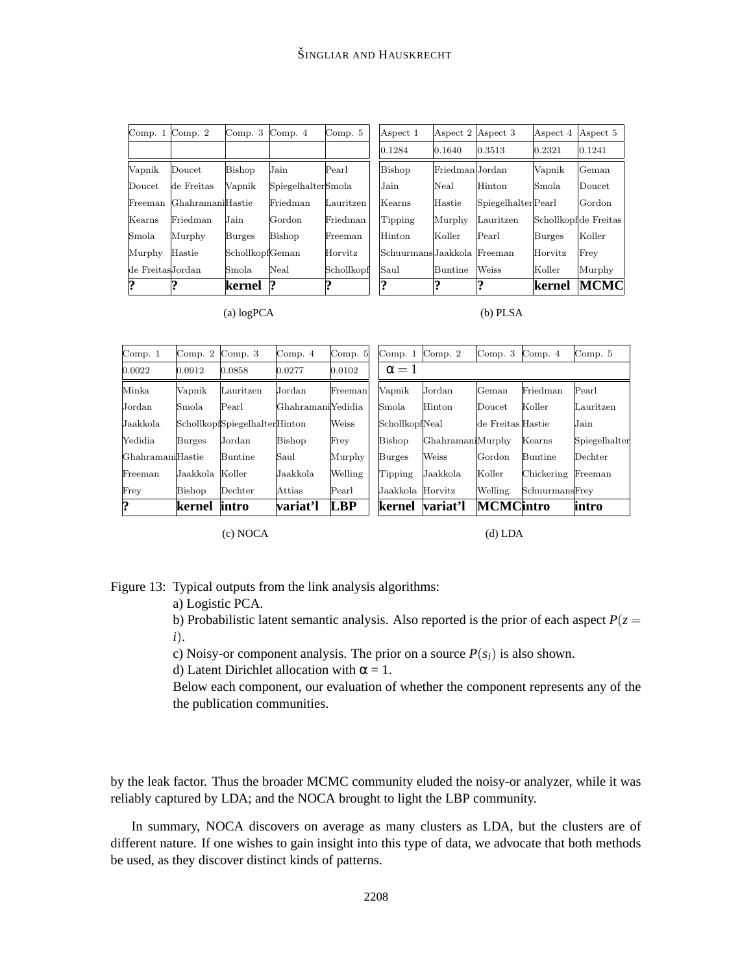| Comp. $1$ Comp. $2$ |                  | Comp. $3$ Comp. $4$    |                    | Comp. 5    |
|---------------------|------------------|------------------------|--------------------|------------|
|                     |                  |                        |                    |            |
| Vapnik              | $\rm {Doucet}$   | Bishop                 | $_{\mathrm{Jain}}$ | Pearl      |
| Doucet              | de Freitas       | Vapnik                 | SpiegelhalterSmola |            |
| Freeman             | GhahramaniHastie |                        | Friedman           | Lauritzen  |
| Kearns              | Friedman         | $_{\mathrm{Jain}}$     | Gordon             | Friedman   |
| Smola               | Murphy           | Burges                 | Bishop             | Freeman    |
| Murphy              | $\rm{Hastie}$    | SchollkopfGeman        |                    | Horvitz    |
| de FreitasJordan    |                  | $\operatorname{Smola}$ | Neal               | Schollkopf |
| າ                   |                  | kernel                 |                    | ၈          |

| Aspect 1                    | Aspect 2 Aspect 3 |                     | Aspect 4      | Aspect 5             |
|-----------------------------|-------------------|---------------------|---------------|----------------------|
| 0.1284                      | 0.1640            | 0.3513              | 0.2321        | 0.1241               |
| Bishop                      | Friedman Jordan   |                     | Vapnik        | Geman                |
| Jain                        | Neal              | Hinton              | Smola.        | Doucet               |
| Kearns                      | Hastie            | Spiegelhalter Pearl |               | Gordon               |
| Tipping                     | Murphy            | Lauritzen           |               | Schollkopfde Freitas |
| Hinton                      | Koller            | Pearl               | <b>Burges</b> | Koller               |
| Schuurmans Jaakkola Freeman |                   |                     | Horvitz       | Frey                 |
| Saul                        | <b>Buntine</b>    | Weiss               | Koller        | Murphy               |
| 9                           | າ                 | 9                   | kernel        | MCMC                 |

(a) logPCA

(b) PLSA

| Comp. 1          | Comp. 2         | Comp. $3$                     | Comp. $4$         | Comp. $5$  | Comp. $1$        | Comp. $2$        | Comp. $3$         | Comp. $4$      | Comp. 5       |
|------------------|-----------------|-------------------------------|-------------------|------------|------------------|------------------|-------------------|----------------|---------------|
| 0.0022           | 0.0912          | 0.0858                        | 0.0277            | 0.0102     | $\alpha = 1$     |                  |                   |                |               |
| Minka            | Vapnik          | Lauritzen                     | Jordan            | Freeman    | Vapnik           | Jordan           | Geman             | Friedman       | Pearl         |
| Jordan           | Smola           | Pearl                         | GhahramaniYedidia |            | Smola            | Hinton           | Doucet            | Koller         | Lauritzen     |
| Jaakkola         |                 | SchollkopfSpiegelhalterHinton |                   | Weiss      | SchollkopfNeal   |                  | de Freitas Hastie |                | Jain.         |
| Yedidia          | <b>Burges</b>   | Jordan                        | <b>Bishop</b>     | Frey       | Bishop           | GhahramaniMurphy |                   | Kearns         | Spiegelhalter |
| GhahramaniHastie |                 | <b>Buntine</b>                | Saul              | Murphy     | <b>Burges</b>    | Weiss            | Gordon            | Buntine        | Dechter       |
| Freeman          | Jaakkola Koller |                               | Jaakkola          | Welling    | Tipping          | Jaakkola         | Koller            | Chickering     | Freeman       |
| Frey             | Bishop          | Dechter                       | Attias            | Pearl      | Jaakkola Horvitz |                  | Welling           | SchuurmansFrey |               |
| ?                | kernel          | intro                         | variat'l          | <b>LBP</b> | lkernel          | variat'l         | <b>MCMCintro</b>  |                | intro         |

(c) NOCA

(d) LDA

Figure 13: Typical outputs from the link analysis algorithms:

a) Logistic PCA.

b) Probabilistic latent semantic analysis. Also reported is the prior of each aspect  $P(z =$ *i*).

c) Noisy-or component analysis. The prior on a source  $P(s_i)$  is also shown.

d) Latent Dirichlet allocation with  $\alpha = 1$ .

Below each component, our evaluation of whether the component represents any of the the publication communities.

by the leak factor. Thus the broader MCMC community eluded the noisy-or analyzer, while it was reliably captured by LDA; and the NOCA brought to light the LBP community.

In summary, NOCA discovers on average as many clusters as LDA, but the clusters are of different nature. If one wishes to gain insight into this type of data, we advocate that both methods be used, as they discover distinct kinds of patterns.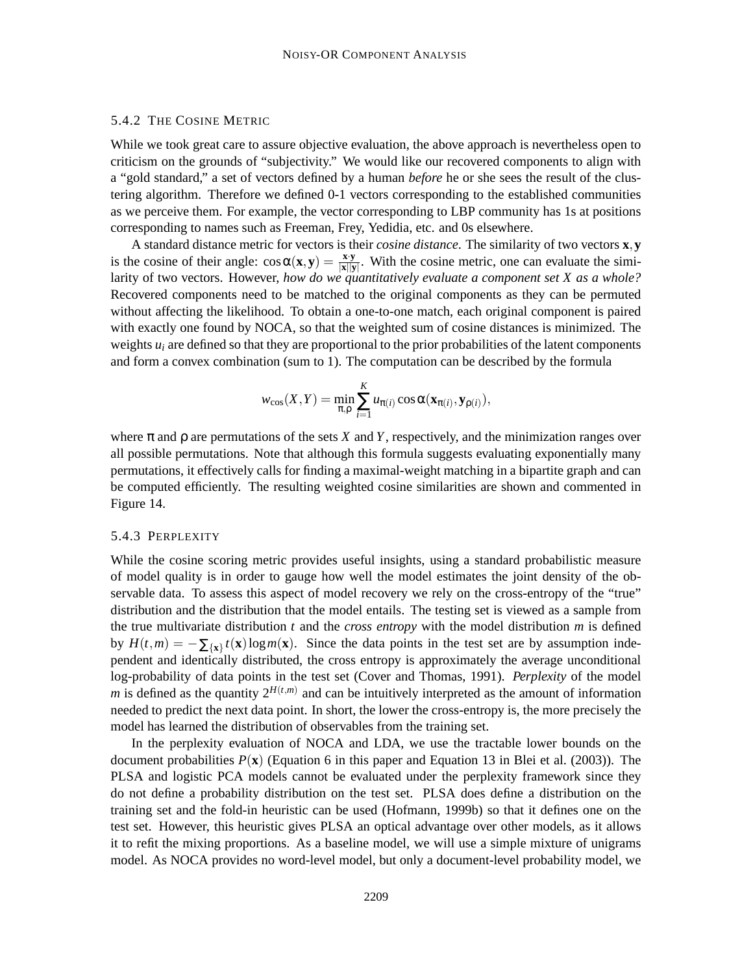## 5.4.2 THE COSINE METRIC

While we took great care to assure objective evaluation, the above approach is nevertheless open to criticism on the grounds of "subjectivity." We would like our recovered components to align with a "gold standard," a set of vectors defined by a human *before* he or she sees the result of the clustering algorithm. Therefore we defined 0-1 vectors corresponding to the established communities as we perceive them. For example, the vector corresponding to LBP community has 1s at positions corresponding to names such as Freeman, Frey, Yedidia, etc. and 0s elsewhere.

A standard distance metric for vectors is their *cosine distance*. The similarity of two vectors **x**,**y** is the cosine of their angle:  $\cos \alpha(\mathbf{x}, \mathbf{y}) = \frac{\mathbf{x} \cdot \mathbf{y}}{|\mathbf{x}||\mathbf{x}|}$  $\frac{\mathbf{x} \cdot \mathbf{y}}{|\mathbf{x}||\mathbf{y}|}$ . With the cosine metric, one can evaluate the similarity of two vectors. However, *how do we quantitatively evaluate a component set X as a whole?* Recovered components need to be matched to the original components as they can be permuted without affecting the likelihood. To obtain a one-to-one match, each original component is paired with exactly one found by NOCA, so that the weighted sum of cosine distances is minimized. The weights  $u_i$  are defined so that they are proportional to the prior probabilities of the latent components and form a convex combination (sum to 1). The computation can be described by the formula

$$
w_{\cos}(X,Y) = \min_{\pi,\rho} \sum_{i=1}^K u_{\pi(i)} \cos \alpha(\mathbf{x}_{\pi(i)}, \mathbf{y}_{\rho(i)}),
$$

where  $\pi$  and  $\rho$  are permutations of the sets *X* and *Y*, respectively, and the minimization ranges over all possible permutations. Note that although this formula suggests evaluating exponentially many permutations, it effectively calls for finding a maximal-weight matching in a bipartite graph and can be computed efficiently. The resulting weighted cosine similarities are shown and commented in Figure 14.

#### 5.4.3 PERPLEXITY

While the cosine scoring metric provides useful insights, using a standard probabilistic measure of model quality is in order to gauge how well the model estimates the joint density of the observable data. To assess this aspect of model recovery we rely on the cross-entropy of the "true" distribution and the distribution that the model entails. The testing set is viewed as a sample from the true multivariate distribution *t* and the *cross entropy* with the model distribution *m* is defined by  $H(t,m) = -\sum_{\{\mathbf{x}\}} t(\mathbf{x}) \log m(\mathbf{x})$ . Since the data points in the test set are by assumption independent and identically distributed, the cross entropy is approximately the average unconditional log-probability of data points in the test set (Cover and Thomas, 1991). *Perplexity* of the model *m* is defined as the quantity  $2^{H(t,m)}$  and can be intuitively interpreted as the amount of information needed to predict the next data point. In short, the lower the cross-entropy is, the more precisely the model has learned the distribution of observables from the training set.

In the perplexity evaluation of NOCA and LDA, we use the tractable lower bounds on the document probabilities  $P(\mathbf{x})$  (Equation 6 in this paper and Equation 13 in Blei et al. (2003)). The PLSA and logistic PCA models cannot be evaluated under the perplexity framework since they do not define a probability distribution on the test set. PLSA does define a distribution on the training set and the fold-in heuristic can be used (Hofmann, 1999b) so that it defines one on the test set. However, this heuristic gives PLSA an optical advantage over other models, as it allows it to refit the mixing proportions. As a baseline model, we will use a simple mixture of unigrams model. As NOCA provides no word-level model, but only a document-level probability model, we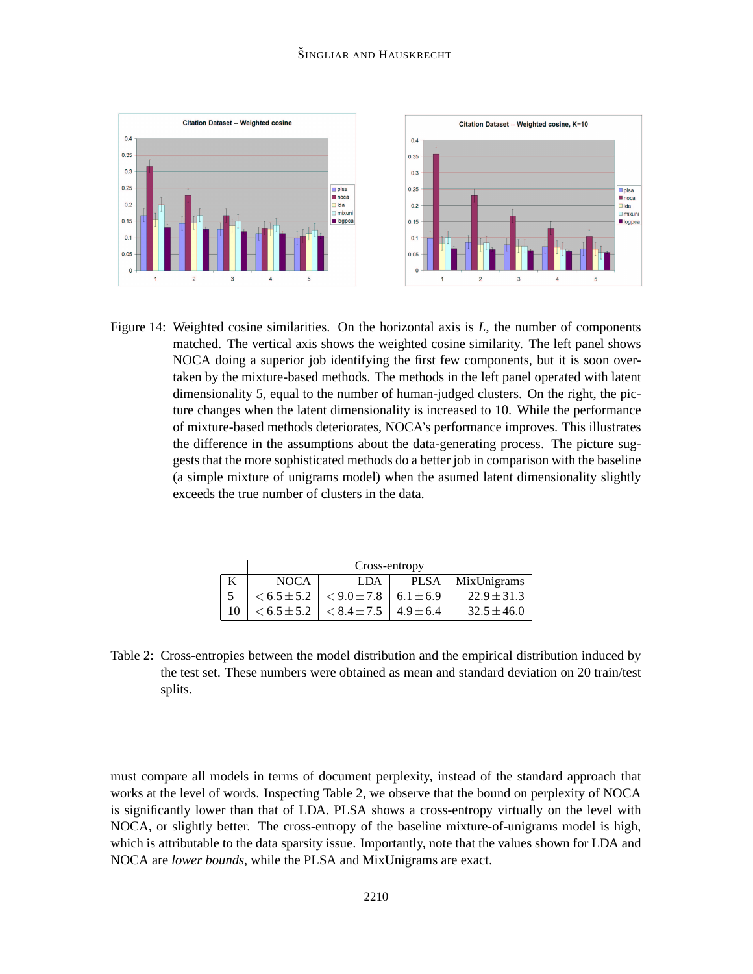

Figure 14: Weighted cosine similarities. On the horizontal axis is *L*, the number of components matched. The vertical axis shows the weighted cosine similarity. The left panel shows NOCA doing a superior job identifying the first few components, but it is soon overtaken by the mixture-based methods. The methods in the left panel operated with latent dimensionality 5, equal to the number of human-judged clusters. On the right, the picture changes when the latent dimensionality is increased to 10. While the performance of mixture-based methods deteriorates, NOCA's performance improves. This illustrates the difference in the assumptions about the data-generating process. The picture suggests that the more sophisticated methods do a better job in comparison with the baseline (a simple mixture of unigrams model) when the asumed latent dimensionality slightly exceeds the true number of clusters in the data.

|    | Cross-entropy   |                 |               |                 |  |  |  |
|----|-----------------|-----------------|---------------|-----------------|--|--|--|
|    | <b>NOCA</b>     | LDA             | <b>PLSA</b>   | MixUnigrams     |  |  |  |
|    | $< 6.5 \pm 5.2$ | $< 9.0 \pm 7.8$ | $6.1 \pm 6.9$ | $22.9 \pm 31.3$ |  |  |  |
| 10 | $< 6.5 \pm 5.2$ | $< 8.4 \pm 7.5$ | $4.9 \pm 6.4$ | $32.5 \pm 46.0$ |  |  |  |

Table 2: Cross-entropies between the model distribution and the empirical distribution induced by the test set. These numbers were obtained as mean and standard deviation on 20 train/test splits.

must compare all models in terms of document perplexity, instead of the standard approach that works at the level of words. Inspecting Table 2, we observe that the bound on perplexity of NOCA is significantly lower than that of LDA. PLSA shows a cross-entropy virtually on the level with NOCA, or slightly better. The cross-entropy of the baseline mixture-of-unigrams model is high, which is attributable to the data sparsity issue. Importantly, note that the values shown for LDA and NOCA are *lower bounds*, while the PLSA and MixUnigrams are exact.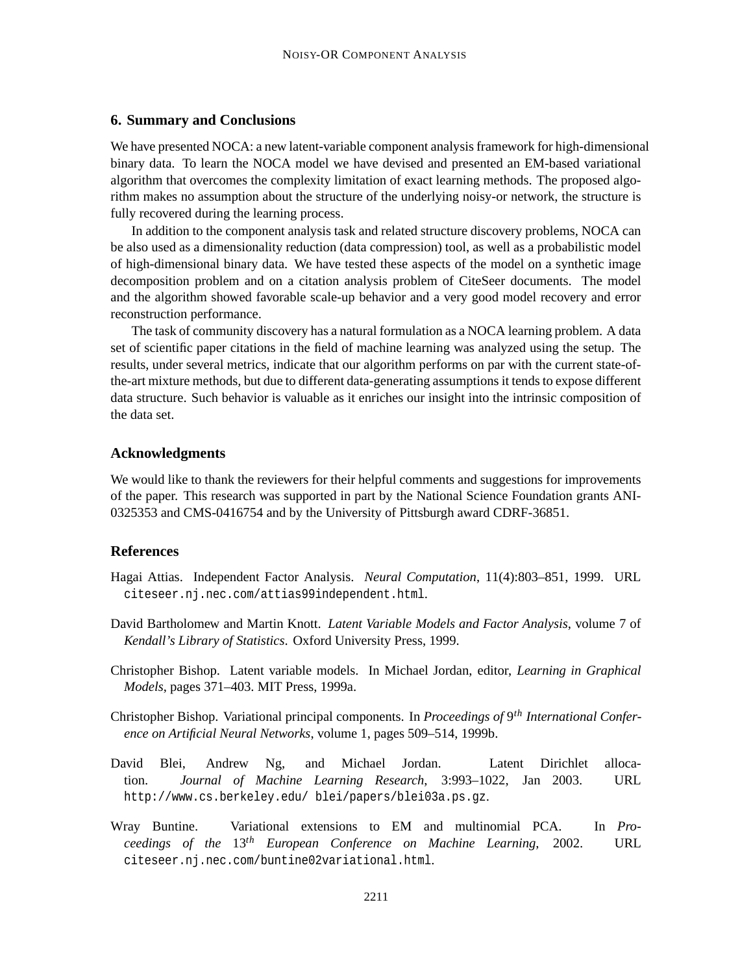#### **6. Summary and Conclusions**

We have presented NOCA: a new latent-variable component analysis framework for high-dimensional binary data. To learn the NOCA model we have devised and presented an EM-based variational algorithm that overcomes the complexity limitation of exact learning methods. The proposed algorithm makes no assumption about the structure of the underlying noisy-or network, the structure is fully recovered during the learning process.

In addition to the component analysis task and related structure discovery problems, NOCA can be also used as a dimensionality reduction (data compression) tool, as well as a probabilistic model of high-dimensional binary data. We have tested these aspects of the model on a synthetic image decomposition problem and on a citation analysis problem of CiteSeer documents. The model and the algorithm showed favorable scale-up behavior and a very good model recovery and error reconstruction performance.

The task of community discovery has a natural formulation as a NOCA learning problem. A data set of scientific paper citations in the field of machine learning was analyzed using the setup. The results, under several metrics, indicate that our algorithm performs on par with the current state-ofthe-art mixture methods, but due to different data-generating assumptions it tends to expose different data structure. Such behavior is valuable as it enriches our insight into the intrinsic composition of the data set.

## **Acknowledgments**

We would like to thank the reviewers for their helpful comments and suggestions for improvements of the paper. This research was supported in part by the National Science Foundation grants ANI-0325353 and CMS-0416754 and by the University of Pittsburgh award CDRF-36851.

### **References**

- Hagai Attias. Independent Factor Analysis. *Neural Computation*, 11(4):803–851, 1999. URL citeseer.nj.nec.com/attias99independent.html.
- David Bartholomew and Martin Knott. *Latent Variable Models and Factor Analysis*, volume 7 of *Kendall's Library of Statistics*. Oxford University Press, 1999.
- Christopher Bishop. Latent variable models. In Michael Jordan, editor, *Learning in Graphical Models*, pages 371–403. MIT Press, 1999a.
- Christopher Bishop. Variational principal components. In *Proceedings of* 9 *th International Conference on Artificial Neural Networks*, volume 1, pages 509–514, 1999b.
- David Blei, Andrew Ng, and Michael Jordan. Latent Dirichlet allocation. *Journal of Machine Learning Research*, 3:993–1022, Jan 2003. URL http://www.cs.berkeley.edu/ blei/papers/blei03a.ps.gz.
- Wray Buntine. Variational extensions to EM and multinomial PCA. In *Proceedings of the* 13*th European Conference on Machine Learning*, 2002. URL citeseer.nj.nec.com/buntine02variational.html.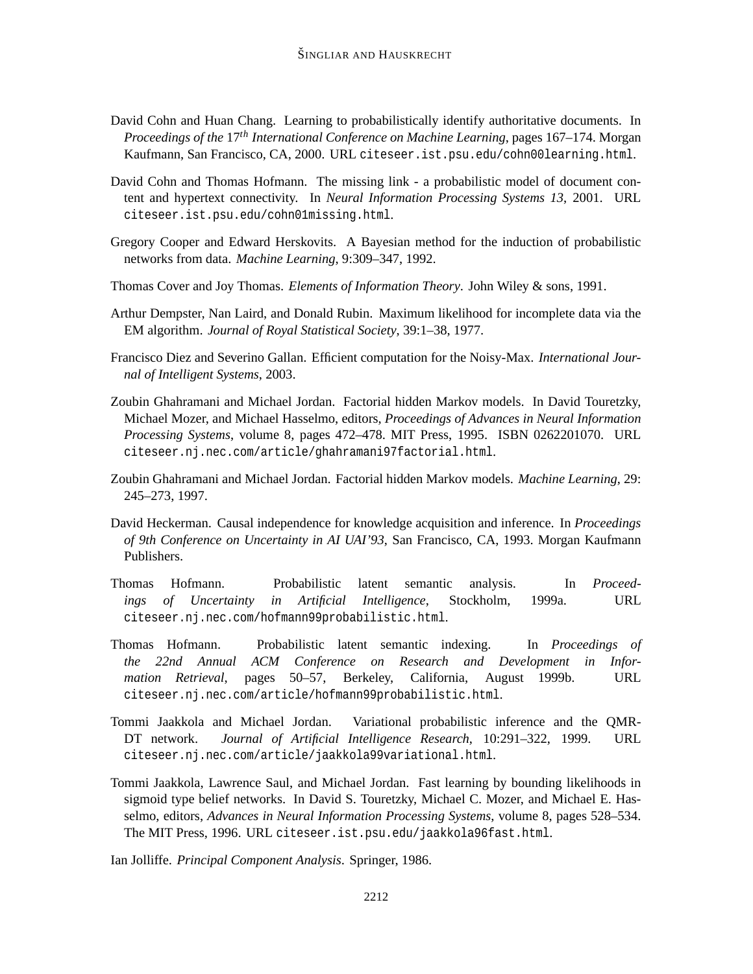- David Cohn and Huan Chang. Learning to probabilistically identify authoritative documents. In *Proceedings of the* 17*th International Conference on Machine Learning*, pages 167–174. Morgan Kaufmann, San Francisco, CA, 2000. URL citeseer.ist.psu.edu/cohn00learning.html.
- David Cohn and Thomas Hofmann. The missing link a probabilistic model of document content and hypertext connectivity. In *Neural Information Processing Systems 13*, 2001. URL citeseer.ist.psu.edu/cohn01missing.html.
- Gregory Cooper and Edward Herskovits. A Bayesian method for the induction of probabilistic networks from data. *Machine Learning*, 9:309–347, 1992.
- Thomas Cover and Joy Thomas. *Elements of Information Theory*. John Wiley & sons, 1991.
- Arthur Dempster, Nan Laird, and Donald Rubin. Maximum likelihood for incomplete data via the EM algorithm. *Journal of Royal Statistical Society*, 39:1–38, 1977.
- Francisco Diez and Severino Gallan. Efficient computation for the Noisy-Max. *International Journal of Intelligent Systems*, 2003.
- Zoubin Ghahramani and Michael Jordan. Factorial hidden Markov models. In David Touretzky, Michael Mozer, and Michael Hasselmo, editors, *Proceedings of Advances in Neural Information Processing Systems*, volume 8, pages 472–478. MIT Press, 1995. ISBN 0262201070. URL citeseer.nj.nec.com/article/ghahramani97factorial.html.
- Zoubin Ghahramani and Michael Jordan. Factorial hidden Markov models. *Machine Learning*, 29: 245–273, 1997.
- David Heckerman. Causal independence for knowledge acquisition and inference. In *Proceedings of 9th Conference on Uncertainty in AI UAI'93*, San Francisco, CA, 1993. Morgan Kaufmann Publishers.
- Thomas Hofmann. Probabilistic latent semantic analysis. In *Proceedings of Uncertainty in Artificial Intelligence*, Stockholm, 1999a. URL citeseer.nj.nec.com/hofmann99probabilistic.html.
- Thomas Hofmann. Probabilistic latent semantic indexing. In *Proceedings of the 22nd Annual ACM Conference on Research and Development in Information Retrieval*, pages 50–57, Berkeley, California, August 1999b. URL citeseer.nj.nec.com/article/hofmann99probabilistic.html.
- Tommi Jaakkola and Michael Jordan. Variational probabilistic inference and the QMR-DT network. *Journal of Artificial Intelligence Research*, 10:291–322, 1999. URL citeseer.nj.nec.com/article/jaakkola99variational.html.
- Tommi Jaakkola, Lawrence Saul, and Michael Jordan. Fast learning by bounding likelihoods in sigmoid type belief networks. In David S. Touretzky, Michael C. Mozer, and Michael E. Hasselmo, editors, *Advances in Neural Information Processing Systems*, volume 8, pages 528–534. The MIT Press, 1996. URL citeseer.ist.psu.edu/jaakkola96fast.html.

Ian Jolliffe. *Principal Component Analysis*. Springer, 1986.